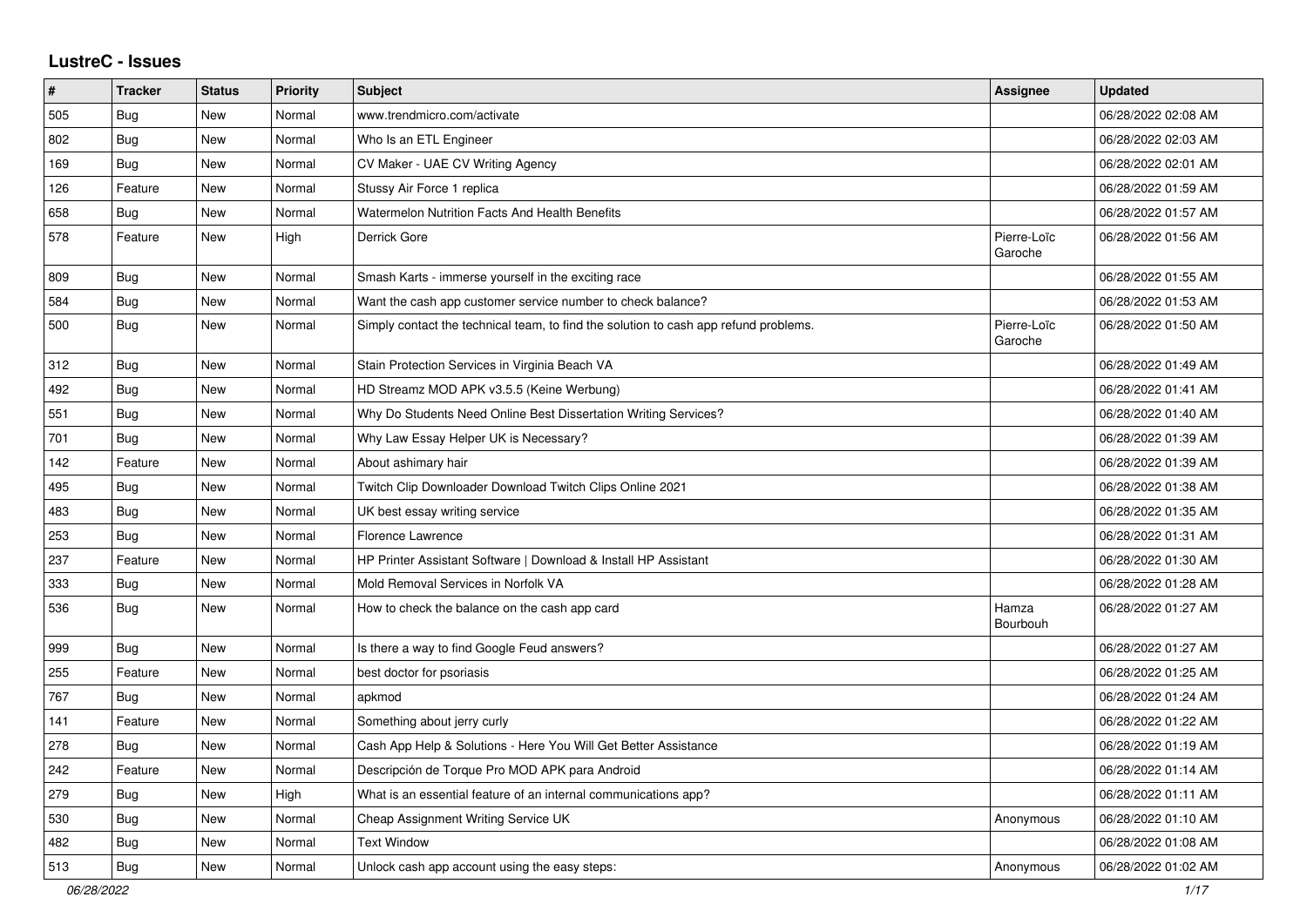## **LustreC - Issues**

| #   | <b>Tracker</b> | <b>Status</b> | <b>Priority</b> | <b>Subject</b>                                                                       | <b>Assignee</b>        | <b>Updated</b>      |
|-----|----------------|---------------|-----------------|--------------------------------------------------------------------------------------|------------------------|---------------------|
| 505 | <b>Bug</b>     | New           | Normal          | www.trendmicro.com/activate                                                          |                        | 06/28/2022 02:08 AM |
| 802 | Bug            | <b>New</b>    | Normal          | Who Is an ETL Engineer                                                               |                        | 06/28/2022 02:03 AM |
| 169 | <b>Bug</b>     | <b>New</b>    | Normal          | CV Maker - UAE CV Writing Agency                                                     |                        | 06/28/2022 02:01 AM |
| 126 | Feature        | New           | Normal          | Stussy Air Force 1 replica                                                           |                        | 06/28/2022 01:59 AM |
| 658 | Bug            | <b>New</b>    | Normal          | <b>Watermelon Nutrition Facts And Health Benefits</b>                                |                        | 06/28/2022 01:57 AM |
| 578 | Feature        | <b>New</b>    | High            | Derrick Gore                                                                         | Pierre-Loïc<br>Garoche | 06/28/2022 01:56 AM |
| 809 | Bug            | New           | Normal          | Smash Karts - immerse yourself in the exciting race                                  |                        | 06/28/2022 01:55 AM |
| 584 | <b>Bug</b>     | <b>New</b>    | Normal          | Want the cash app customer service number to check balance?                          |                        | 06/28/2022 01:53 AM |
| 500 | Bug            | <b>New</b>    | Normal          | Simply contact the technical team, to find the solution to cash app refund problems. | Pierre-Loïc<br>Garoche | 06/28/2022 01:50 AM |
| 312 | <b>Bug</b>     | <b>New</b>    | Normal          | Stain Protection Services in Virginia Beach VA                                       |                        | 06/28/2022 01:49 AM |
| 492 | Bug            | <b>New</b>    | Normal          | HD Streamz MOD APK v3.5.5 (Keine Werbung)                                            |                        | 06/28/2022 01:41 AM |
| 551 | <b>Bug</b>     | New           | Normal          | Why Do Students Need Online Best Dissertation Writing Services?                      |                        | 06/28/2022 01:40 AM |
| 701 | Bug            | <b>New</b>    | Normal          | Why Law Essay Helper UK is Necessary?                                                |                        | 06/28/2022 01:39 AM |
| 142 | Feature        | <b>New</b>    | Normal          | About ashimary hair                                                                  |                        | 06/28/2022 01:39 AM |
| 495 | <b>Bug</b>     | New           | Normal          | Twitch Clip Downloader Download Twitch Clips Online 2021                             |                        | 06/28/2022 01:38 AM |
| 483 | Bug            | <b>New</b>    | Normal          | UK best essay writing service                                                        |                        | 06/28/2022 01:35 AM |
| 253 | <b>Bug</b>     | <b>New</b>    | Normal          | <b>Florence Lawrence</b>                                                             |                        | 06/28/2022 01:31 AM |
| 237 | Feature        | <b>New</b>    | Normal          | HP Printer Assistant Software   Download & Install HP Assistant                      |                        | 06/28/2022 01:30 AM |
| 333 | Bug            | New           | Normal          | Mold Removal Services in Norfolk VA                                                  |                        | 06/28/2022 01:28 AM |
| 536 | Bug            | <b>New</b>    | Normal          | How to check the balance on the cash app card                                        | Hamza<br>Bourbouh      | 06/28/2022 01:27 AM |
| 999 | <b>Bug</b>     | New           | Normal          | Is there a way to find Google Feud answers?                                          |                        | 06/28/2022 01:27 AM |
| 255 | Feature        | <b>New</b>    | Normal          | best doctor for psoriasis                                                            |                        | 06/28/2022 01:25 AM |
| 767 | Bug            | <b>New</b>    | Normal          | apkmod                                                                               |                        | 06/28/2022 01:24 AM |
| 141 | Feature        | New           | Normal          | Something about jerry curly                                                          |                        | 06/28/2022 01:22 AM |
| 278 | Bug            | <b>New</b>    | Normal          | Cash App Help & Solutions - Here You Will Get Better Assistance                      |                        | 06/28/2022 01:19 AM |
| 242 | Feature        | <b>New</b>    | Normal          | Descripción de Torque Pro MOD APK para Android                                       |                        | 06/28/2022 01:14 AM |
| 279 | Bug            | <b>New</b>    | High            | What is an essential feature of an internal communications app?                      |                        | 06/28/2022 01:11 AM |
| 530 | <b>Bug</b>     | New           | Normal          | Cheap Assignment Writing Service UK                                                  | Anonymous              | 06/28/2022 01:10 AM |
| 482 | Bug            | <b>New</b>    | Normal          | <b>Text Window</b>                                                                   |                        | 06/28/2022 01:08 AM |
| 513 | <b>Bug</b>     | <b>New</b>    | Normal          | Unlock cash app account using the easy steps:                                        | Anonymous              | 06/28/2022 01:02 AM |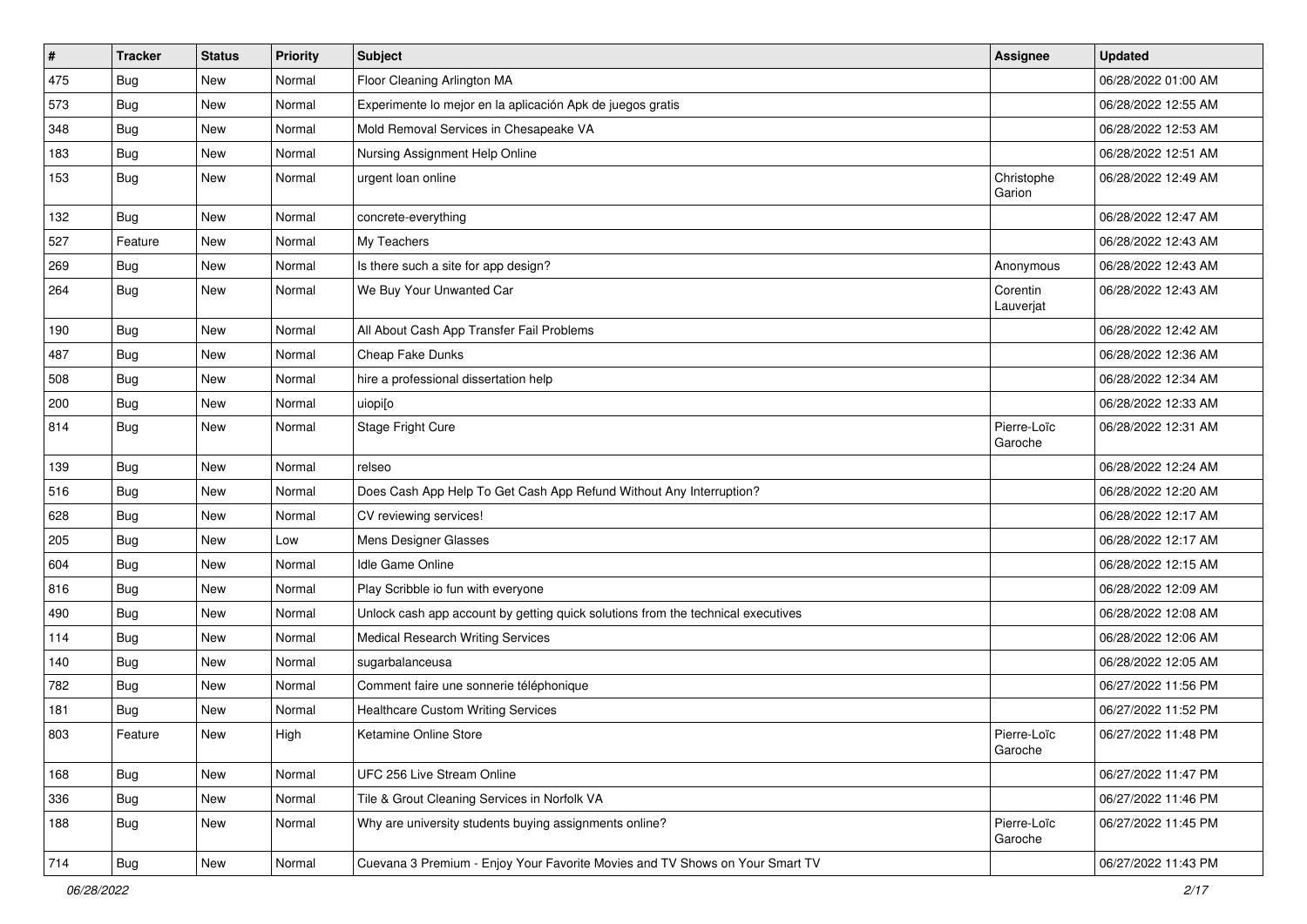| $\sharp$ | <b>Tracker</b> | <b>Status</b> | Priority | Subject                                                                          | <b>Assignee</b>        | <b>Updated</b>      |
|----------|----------------|---------------|----------|----------------------------------------------------------------------------------|------------------------|---------------------|
| 475      | <b>Bug</b>     | New           | Normal   | Floor Cleaning Arlington MA                                                      |                        | 06/28/2022 01:00 AM |
| 573      | <b>Bug</b>     | New           | Normal   | Experimente lo mejor en la aplicación Apk de juegos gratis                       |                        | 06/28/2022 12:55 AM |
| 348      | Bug            | New           | Normal   | Mold Removal Services in Chesapeake VA                                           |                        | 06/28/2022 12:53 AM |
| 183      | <b>Bug</b>     | New           | Normal   | Nursing Assignment Help Online                                                   |                        | 06/28/2022 12:51 AM |
| 153      | <b>Bug</b>     | New           | Normal   | urgent loan online                                                               | Christophe<br>Garion   | 06/28/2022 12:49 AM |
| 132      | <b>Bug</b>     | New           | Normal   | concrete-everything                                                              |                        | 06/28/2022 12:47 AM |
| 527      | Feature        | New           | Normal   | My Teachers                                                                      |                        | 06/28/2022 12:43 AM |
| 269      | <b>Bug</b>     | New           | Normal   | Is there such a site for app design?                                             | Anonymous              | 06/28/2022 12:43 AM |
| 264      | <b>Bug</b>     | New           | Normal   | We Buy Your Unwanted Car                                                         | Corentin<br>Lauverjat  | 06/28/2022 12:43 AM |
| 190      | Bug            | New           | Normal   | All About Cash App Transfer Fail Problems                                        |                        | 06/28/2022 12:42 AM |
| 487      | Bug            | New           | Normal   | Cheap Fake Dunks                                                                 |                        | 06/28/2022 12:36 AM |
| 508      | <b>Bug</b>     | New           | Normal   | hire a professional dissertation help                                            |                        | 06/28/2022 12:34 AM |
| 200      | Bug            | New           | Normal   | uiopi[o                                                                          |                        | 06/28/2022 12:33 AM |
| 814      | <b>Bug</b>     | New           | Normal   | Stage Fright Cure                                                                | Pierre-Loïc<br>Garoche | 06/28/2022 12:31 AM |
| 139      | Bug            | New           | Normal   | relseo                                                                           |                        | 06/28/2022 12:24 AM |
| 516      | Bug            | New           | Normal   | Does Cash App Help To Get Cash App Refund Without Any Interruption?              |                        | 06/28/2022 12:20 AM |
| 628      | <b>Bug</b>     | New           | Normal   | CV reviewing services!                                                           |                        | 06/28/2022 12:17 AM |
| 205      | Bug            | New           | Low      | Mens Designer Glasses                                                            |                        | 06/28/2022 12:17 AM |
| 604      | <b>Bug</b>     | New           | Normal   | Idle Game Online                                                                 |                        | 06/28/2022 12:15 AM |
| 816      | Bug            | New           | Normal   | Play Scribble io fun with everyone                                               |                        | 06/28/2022 12:09 AM |
| 490      | Bug            | New           | Normal   | Unlock cash app account by getting quick solutions from the technical executives |                        | 06/28/2022 12:08 AM |
| 114      | Bug            | New           | Normal   | <b>Medical Research Writing Services</b>                                         |                        | 06/28/2022 12:06 AM |
| 140      | Bug            | New           | Normal   | sugarbalanceusa                                                                  |                        | 06/28/2022 12:05 AM |
| 782      | <b>Bug</b>     | New           | Normal   | Comment faire une sonnerie téléphonique                                          |                        | 06/27/2022 11:56 PM |
| 181      | <b>Bug</b>     | New           | Normal   | <b>Healthcare Custom Writing Services</b>                                        |                        | 06/27/2022 11:52 PM |
| 803      | Feature        | New           | High     | Ketamine Online Store                                                            | Pierre-Loïc<br>Garoche | 06/27/2022 11:48 PM |
| 168      | Bug            | New           | Normal   | UFC 256 Live Stream Online                                                       |                        | 06/27/2022 11:47 PM |
| 336      | <b>Bug</b>     | New           | Normal   | Tile & Grout Cleaning Services in Norfolk VA                                     |                        | 06/27/2022 11:46 PM |
| 188      | <b>Bug</b>     | New           | Normal   | Why are university students buying assignments online?                           | Pierre-Loïc<br>Garoche | 06/27/2022 11:45 PM |
| 714      | <b>Bug</b>     | New           | Normal   | Cuevana 3 Premium - Enjoy Your Favorite Movies and TV Shows on Your Smart TV     |                        | 06/27/2022 11:43 PM |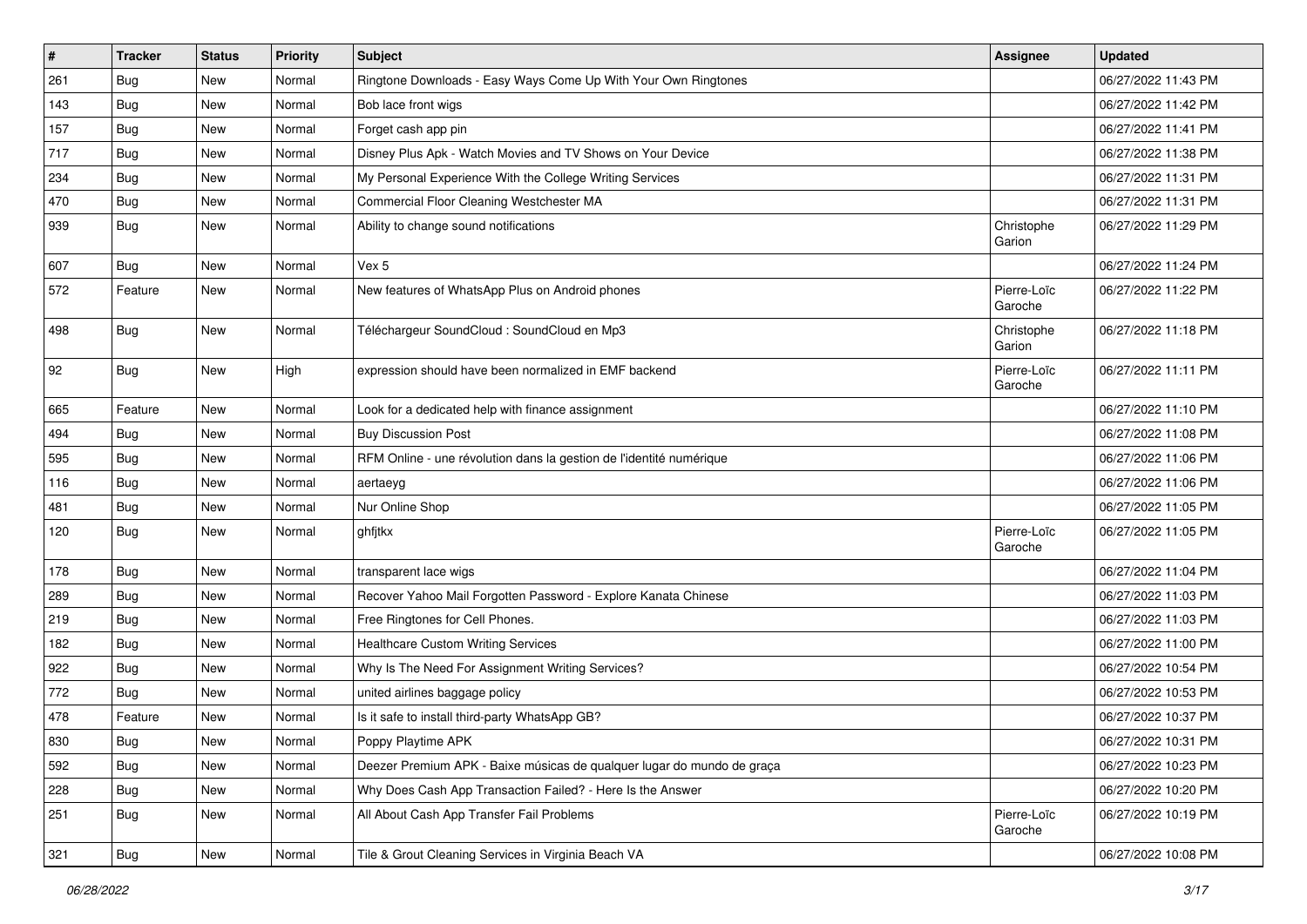| #   | <b>Tracker</b> | <b>Status</b> | <b>Priority</b> | Subject                                                                | <b>Assignee</b>        | <b>Updated</b>      |
|-----|----------------|---------------|-----------------|------------------------------------------------------------------------|------------------------|---------------------|
| 261 | <b>Bug</b>     | New           | Normal          | Ringtone Downloads - Easy Ways Come Up With Your Own Ringtones         |                        | 06/27/2022 11:43 PM |
| 143 | <b>Bug</b>     | <b>New</b>    | Normal          | Bob lace front wigs                                                    |                        | 06/27/2022 11:42 PM |
| 157 | <b>Bug</b>     | New           | Normal          | Forget cash app pin                                                    |                        | 06/27/2022 11:41 PM |
| 717 | <b>Bug</b>     | New           | Normal          | Disney Plus Apk - Watch Movies and TV Shows on Your Device             |                        | 06/27/2022 11:38 PM |
| 234 | <b>Bug</b>     | <b>New</b>    | Normal          | My Personal Experience With the College Writing Services               |                        | 06/27/2022 11:31 PM |
| 470 | <b>Bug</b>     | New           | Normal          | Commercial Floor Cleaning Westchester MA                               |                        | 06/27/2022 11:31 PM |
| 939 | <b>Bug</b>     | New           | Normal          | Ability to change sound notifications                                  | Christophe<br>Garion   | 06/27/2022 11:29 PM |
| 607 | <b>Bug</b>     | <b>New</b>    | Normal          | Vex 5                                                                  |                        | 06/27/2022 11:24 PM |
| 572 | Feature        | New           | Normal          | New features of WhatsApp Plus on Android phones                        | Pierre-Loïc<br>Garoche | 06/27/2022 11:22 PM |
| 498 | Bug            | New           | Normal          | Téléchargeur SoundCloud : SoundCloud en Mp3                            | Christophe<br>Garion   | 06/27/2022 11:18 PM |
| 92  | Bug            | New           | High            | expression should have been normalized in EMF backend                  | Pierre-Loïc<br>Garoche | 06/27/2022 11:11 PM |
| 665 | Feature        | New           | Normal          | Look for a dedicated help with finance assignment                      |                        | 06/27/2022 11:10 PM |
| 494 | <b>Bug</b>     | New           | Normal          | <b>Buy Discussion Post</b>                                             |                        | 06/27/2022 11:08 PM |
| 595 | <b>Bug</b>     | <b>New</b>    | Normal          | RFM Online - une révolution dans la gestion de l'identité numérique    |                        | 06/27/2022 11:06 PM |
| 116 | <b>Bug</b>     | New           | Normal          | aertaeyg                                                               |                        | 06/27/2022 11:06 PM |
| 481 | <b>Bug</b>     | New           | Normal          | Nur Online Shop                                                        |                        | 06/27/2022 11:05 PM |
| 120 | <b>Bug</b>     | <b>New</b>    | Normal          | ghfjtkx                                                                | Pierre-Loïc<br>Garoche | 06/27/2022 11:05 PM |
| 178 | <b>Bug</b>     | New           | Normal          | transparent lace wigs                                                  |                        | 06/27/2022 11:04 PM |
| 289 | Bug            | <b>New</b>    | Normal          | Recover Yahoo Mail Forgotten Password - Explore Kanata Chinese         |                        | 06/27/2022 11:03 PM |
| 219 | <b>Bug</b>     | New           | Normal          | Free Ringtones for Cell Phones.                                        |                        | 06/27/2022 11:03 PM |
| 182 | <b>Bug</b>     | New           | Normal          | <b>Healthcare Custom Writing Services</b>                              |                        | 06/27/2022 11:00 PM |
| 922 | <b>Bug</b>     | New           | Normal          | Why Is The Need For Assignment Writing Services?                       |                        | 06/27/2022 10:54 PM |
| 772 | <b>Bug</b>     | New           | Normal          | united airlines baggage policy                                         |                        | 06/27/2022 10:53 PM |
| 478 | Feature        | New           | Normal          | Is it safe to install third-party WhatsApp GB?                         |                        | 06/27/2022 10:37 PM |
| 830 | Bug            | New           | Normal          | Poppy Playtime APK                                                     |                        | 06/27/2022 10:31 PM |
| 592 | Bug            | New           | Normal          | Deezer Premium APK - Baixe músicas de qualquer lugar do mundo de graça |                        | 06/27/2022 10:23 PM |
| 228 | <b>Bug</b>     | New           | Normal          | Why Does Cash App Transaction Failed? - Here Is the Answer             |                        | 06/27/2022 10:20 PM |
| 251 | <b>Bug</b>     | New           | Normal          | All About Cash App Transfer Fail Problems                              | Pierre-Loïc<br>Garoche | 06/27/2022 10:19 PM |
| 321 | <b>Bug</b>     | New           | Normal          | Tile & Grout Cleaning Services in Virginia Beach VA                    |                        | 06/27/2022 10:08 PM |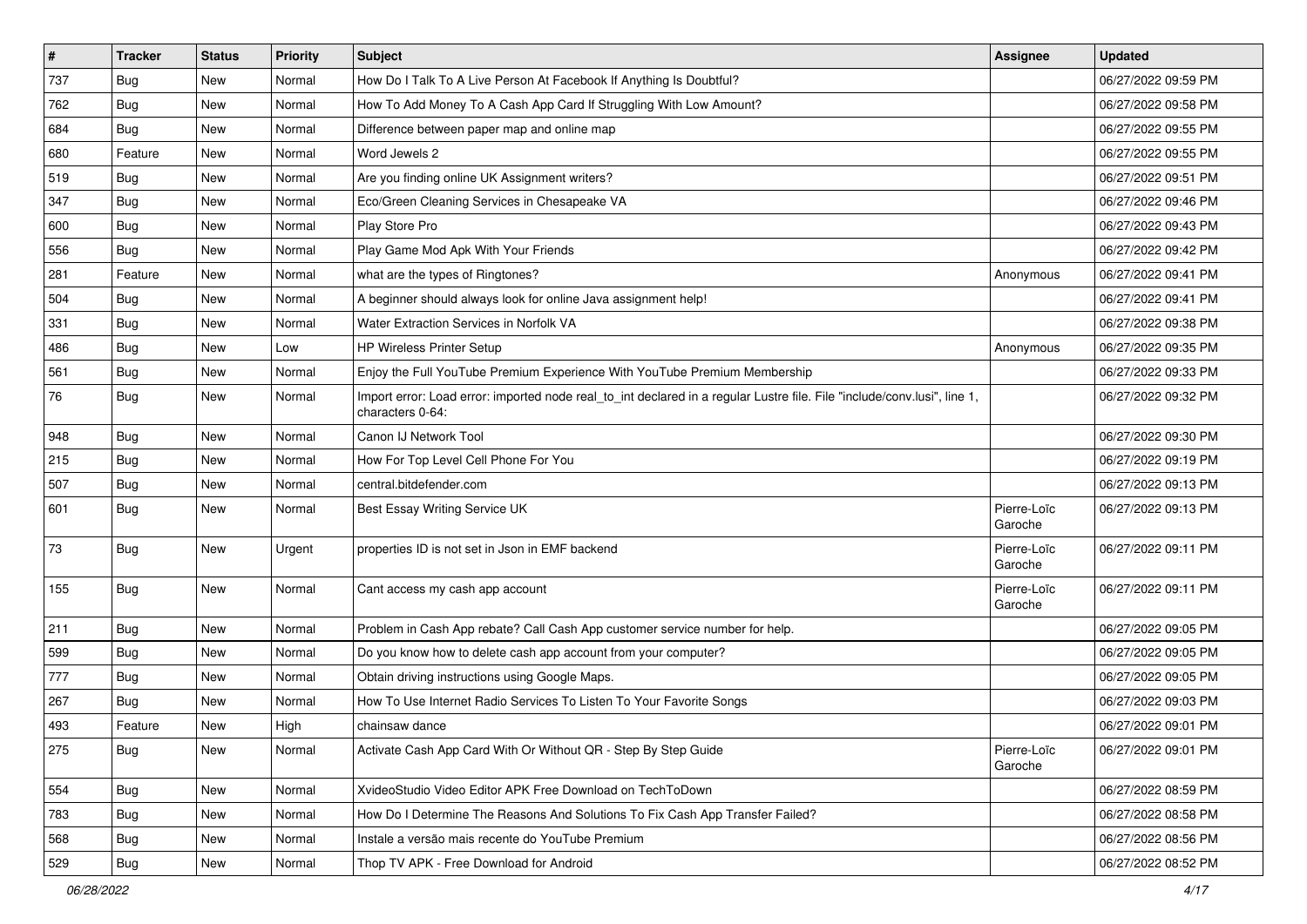| $\vert$ # | <b>Tracker</b> | <b>Status</b> | <b>Priority</b> | Subject                                                                                                                                      | <b>Assignee</b>        | <b>Updated</b>      |
|-----------|----------------|---------------|-----------------|----------------------------------------------------------------------------------------------------------------------------------------------|------------------------|---------------------|
| 737       | <b>Bug</b>     | New           | Normal          | How Do I Talk To A Live Person At Facebook If Anything Is Doubtful?                                                                          |                        | 06/27/2022 09:59 PM |
| 762       | Bug            | New           | Normal          | How To Add Money To A Cash App Card If Struggling With Low Amount?                                                                           |                        | 06/27/2022 09:58 PM |
| 684       | Bug            | New           | Normal          | Difference between paper map and online map                                                                                                  |                        | 06/27/2022 09:55 PM |
| 680       | Feature        | New           | Normal          | Word Jewels 2                                                                                                                                |                        | 06/27/2022 09:55 PM |
| 519       | Bug            | New           | Normal          | Are you finding online UK Assignment writers?                                                                                                |                        | 06/27/2022 09:51 PM |
| 347       | <b>Bug</b>     | New           | Normal          | Eco/Green Cleaning Services in Chesapeake VA                                                                                                 |                        | 06/27/2022 09:46 PM |
| 600       | Bug            | New           | Normal          | Play Store Pro                                                                                                                               |                        | 06/27/2022 09:43 PM |
| 556       | <b>Bug</b>     | New           | Normal          | Play Game Mod Apk With Your Friends                                                                                                          |                        | 06/27/2022 09:42 PM |
| 281       | Feature        | New           | Normal          | what are the types of Ringtones?                                                                                                             | Anonymous              | 06/27/2022 09:41 PM |
| 504       | Bug            | <b>New</b>    | Normal          | A beginner should always look for online Java assignment help!                                                                               |                        | 06/27/2022 09:41 PM |
| 331       | <b>Bug</b>     | New           | Normal          | Water Extraction Services in Norfolk VA                                                                                                      |                        | 06/27/2022 09:38 PM |
| 486       | <b>Bug</b>     | <b>New</b>    | Low             | <b>HP Wireless Printer Setup</b>                                                                                                             | Anonymous              | 06/27/2022 09:35 PM |
| 561       | Bug            | <b>New</b>    | Normal          | Enjoy the Full YouTube Premium Experience With YouTube Premium Membership                                                                    |                        | 06/27/2022 09:33 PM |
| 76        | <b>Bug</b>     | New           | Normal          | Import error: Load error: imported node real_to_int declared in a regular Lustre file. File "include/conv.lusi", line 1,<br>characters 0-64: |                        | 06/27/2022 09:32 PM |
| 948       | <b>Bug</b>     | <b>New</b>    | Normal          | Canon IJ Network Tool                                                                                                                        |                        | 06/27/2022 09:30 PM |
| 215       | Bug            | New           | Normal          | How For Top Level Cell Phone For You                                                                                                         |                        | 06/27/2022 09:19 PM |
| 507       | Bug            | New           | Normal          | central.bitdefender.com                                                                                                                      |                        | 06/27/2022 09:13 PM |
| 601       | <b>Bug</b>     | New           | Normal          | Best Essay Writing Service UK                                                                                                                | Pierre-Loïc<br>Garoche | 06/27/2022 09:13 PM |
| 73        | Bug            | <b>New</b>    | Urgent          | properties ID is not set in Json in EMF backend                                                                                              | Pierre-Loïc<br>Garoche | 06/27/2022 09:11 PM |
| 155       | <b>Bug</b>     | New           | Normal          | Cant access my cash app account                                                                                                              | Pierre-Loïc<br>Garoche | 06/27/2022 09:11 PM |
| 211       | Bug            | New           | Normal          | Problem in Cash App rebate? Call Cash App customer service number for help.                                                                  |                        | 06/27/2022 09:05 PM |
| 599       | Bug            | <b>New</b>    | Normal          | Do you know how to delete cash app account from your computer?                                                                               |                        | 06/27/2022 09:05 PM |
| 777       | <b>Bug</b>     | New           | Normal          | Obtain driving instructions using Google Maps.                                                                                               |                        | 06/27/2022 09:05 PM |
| 267       | Bug            | New           | Normal          | How To Use Internet Radio Services To Listen To Your Favorite Songs                                                                          |                        | 06/27/2022 09:03 PM |
| 493       | Feature        | <b>New</b>    | High            | chainsaw dance                                                                                                                               |                        | 06/27/2022 09:01 PM |
| 275       | <b>Bug</b>     | New           | Normal          | Activate Cash App Card With Or Without QR - Step By Step Guide                                                                               | Pierre-Loïc<br>Garoche | 06/27/2022 09:01 PM |
| 554       | <b>Bug</b>     | New           | Normal          | XvideoStudio Video Editor APK Free Download on TechToDown                                                                                    |                        | 06/27/2022 08:59 PM |
| 783       | <b>Bug</b>     | New           | Normal          | How Do I Determine The Reasons And Solutions To Fix Cash App Transfer Failed?                                                                |                        | 06/27/2022 08:58 PM |
| 568       | <b>Bug</b>     | New           | Normal          | Instale a versão mais recente do YouTube Premium                                                                                             |                        | 06/27/2022 08:56 PM |
| 529       | <b>Bug</b>     | New           | Normal          | Thop TV APK - Free Download for Android                                                                                                      |                        | 06/27/2022 08:52 PM |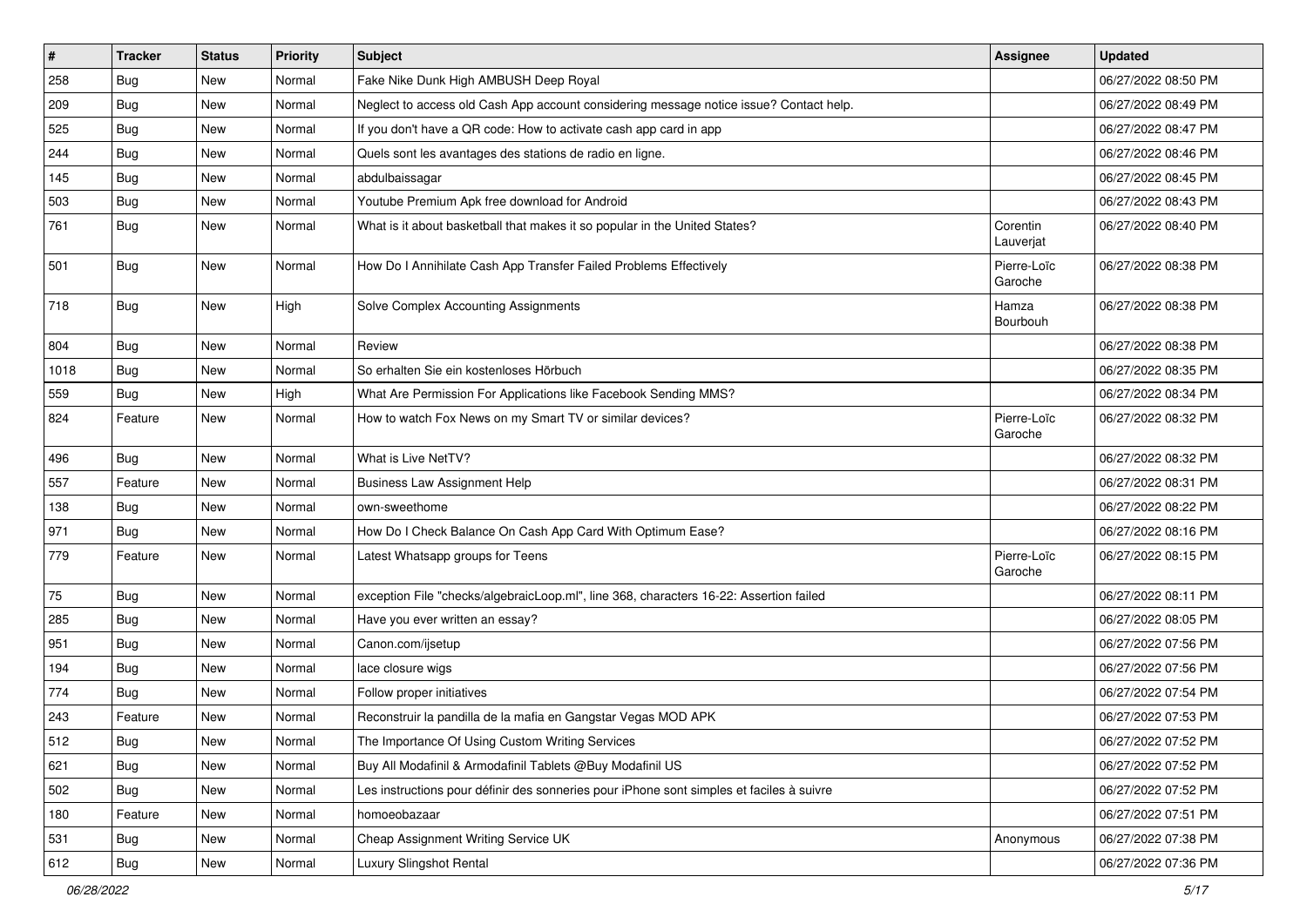| #    | <b>Tracker</b> | <b>Status</b> | Priority | Subject                                                                                  | <b>Assignee</b>        | <b>Updated</b>      |
|------|----------------|---------------|----------|------------------------------------------------------------------------------------------|------------------------|---------------------|
| 258  | <b>Bug</b>     | New           | Normal   | Fake Nike Dunk High AMBUSH Deep Royal                                                    |                        | 06/27/2022 08:50 PM |
| 209  | Bug            | New           | Normal   | Neglect to access old Cash App account considering message notice issue? Contact help.   |                        | 06/27/2022 08:49 PM |
| 525  | Bug            | New           | Normal   | If you don't have a QR code: How to activate cash app card in app                        |                        | 06/27/2022 08:47 PM |
| 244  | <b>Bug</b>     | New           | Normal   | Quels sont les avantages des stations de radio en ligne.                                 |                        | 06/27/2022 08:46 PM |
| 145  | Bug            | New           | Normal   | abdulbaissagar                                                                           |                        | 06/27/2022 08:45 PM |
| 503  | <b>Bug</b>     | New           | Normal   | Youtube Premium Apk free download for Android                                            |                        | 06/27/2022 08:43 PM |
| 761  | <b>Bug</b>     | New           | Normal   | What is it about basketball that makes it so popular in the United States?               | Corentin<br>Lauverjat  | 06/27/2022 08:40 PM |
| 501  | Bug            | New           | Normal   | How Do I Annihilate Cash App Transfer Failed Problems Effectively                        | Pierre-Loïc<br>Garoche | 06/27/2022 08:38 PM |
| 718  | <b>Bug</b>     | New           | High     | Solve Complex Accounting Assignments                                                     | Hamza<br>Bourbouh      | 06/27/2022 08:38 PM |
| 804  | <b>Bug</b>     | New           | Normal   | Review                                                                                   |                        | 06/27/2022 08:38 PM |
| 1018 | Bug            | New           | Normal   | So erhalten Sie ein kostenloses Hörbuch                                                  |                        | 06/27/2022 08:35 PM |
| 559  | <b>Bug</b>     | New           | High     | What Are Permission For Applications like Facebook Sending MMS?                          |                        | 06/27/2022 08:34 PM |
| 824  | Feature        | New           | Normal   | How to watch Fox News on my Smart TV or similar devices?                                 | Pierre-Loïc<br>Garoche | 06/27/2022 08:32 PM |
| 496  | Bug            | New           | Normal   | What is Live NetTV?                                                                      |                        | 06/27/2022 08:32 PM |
| 557  | Feature        | New           | Normal   | <b>Business Law Assignment Help</b>                                                      |                        | 06/27/2022 08:31 PM |
| 138  | Bug            | New           | Normal   | own-sweethome                                                                            |                        | 06/27/2022 08:22 PM |
| 971  | Bug            | New           | Normal   | How Do I Check Balance On Cash App Card With Optimum Ease?                               |                        | 06/27/2022 08:16 PM |
| 779  | Feature        | New           | Normal   | Latest Whatsapp groups for Teens                                                         | Pierre-Loïc<br>Garoche | 06/27/2022 08:15 PM |
| 75   | Bug            | New           | Normal   | exception File "checks/algebraicLoop.ml", line 368, characters 16-22: Assertion failed   |                        | 06/27/2022 08:11 PM |
| 285  | Bug            | New           | Normal   | Have you ever written an essay?                                                          |                        | 06/27/2022 08:05 PM |
| 951  | <b>Bug</b>     | New           | Normal   | Canon.com/ijsetup                                                                        |                        | 06/27/2022 07:56 PM |
| 194  | <b>Bug</b>     | New           | Normal   | lace closure wigs                                                                        |                        | 06/27/2022 07:56 PM |
| 774  | <b>Bug</b>     | New           | Normal   | Follow proper initiatives                                                                |                        | 06/27/2022 07:54 PM |
| 243  | Feature        | New           | Normal   | Reconstruir la pandilla de la mafia en Gangstar Vegas MOD APK                            |                        | 06/27/2022 07:53 PM |
| 512  | Bug            | New           | Normal   | The Importance Of Using Custom Writing Services                                          |                        | 06/27/2022 07:52 PM |
| 621  | Bug            | New           | Normal   | Buy All Modafinil & Armodafinil Tablets @Buy Modafinil US                                |                        | 06/27/2022 07:52 PM |
| 502  | Bug            | New           | Normal   | Les instructions pour définir des sonneries pour iPhone sont simples et faciles à suivre |                        | 06/27/2022 07:52 PM |
| 180  | Feature        | New           | Normal   | homoeobazaar                                                                             |                        | 06/27/2022 07:51 PM |
| 531  | Bug            | New           | Normal   | Cheap Assignment Writing Service UK                                                      | Anonymous              | 06/27/2022 07:38 PM |
| 612  | Bug            | New           | Normal   | Luxury Slingshot Rental                                                                  |                        | 06/27/2022 07:36 PM |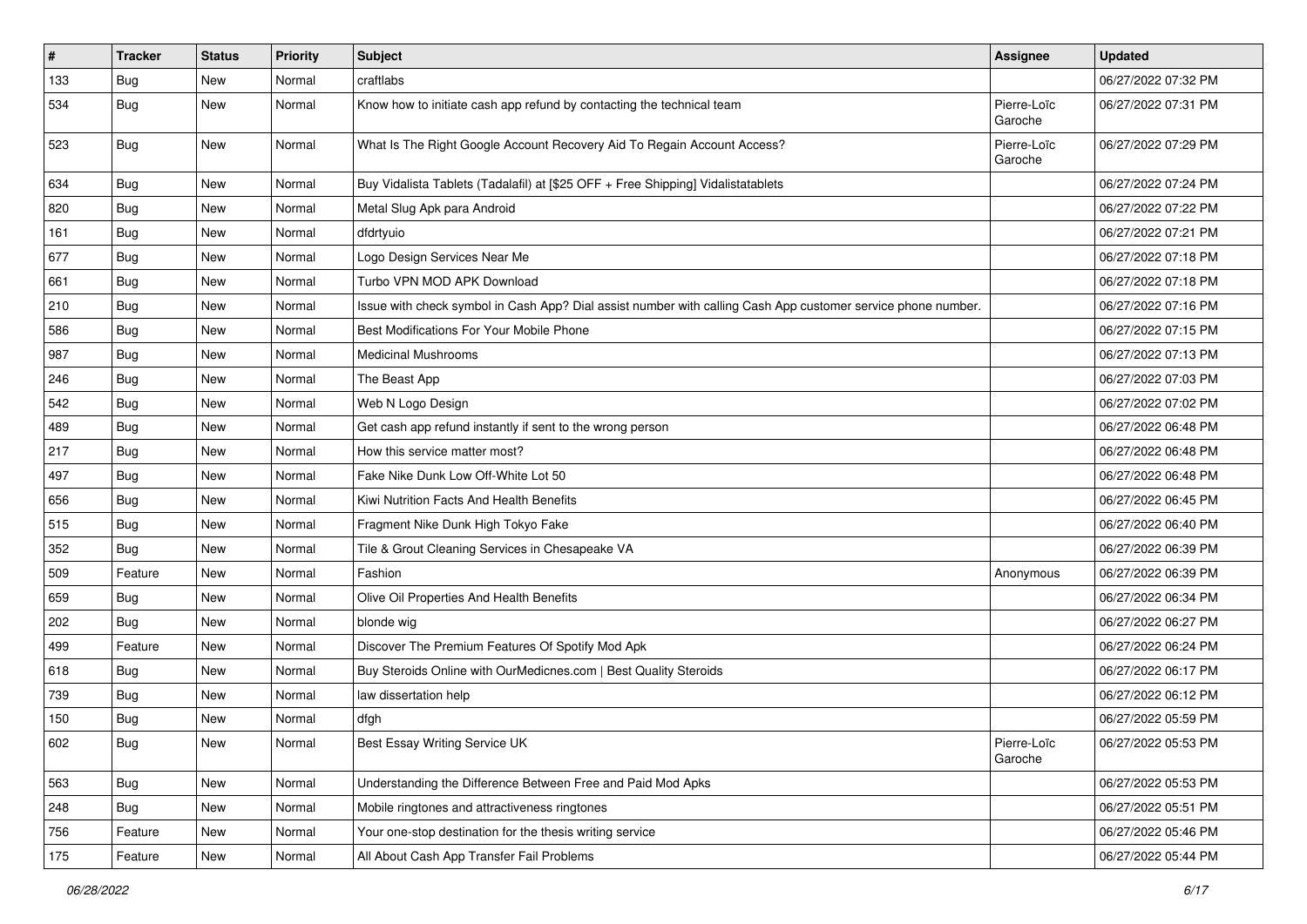| #   | <b>Tracker</b> | <b>Status</b> | <b>Priority</b> | Subject                                                                                                      | Assignee               | <b>Updated</b>      |
|-----|----------------|---------------|-----------------|--------------------------------------------------------------------------------------------------------------|------------------------|---------------------|
| 133 | <b>Bug</b>     | New           | Normal          | craftlabs                                                                                                    |                        | 06/27/2022 07:32 PM |
| 534 | <b>Bug</b>     | New           | Normal          | Know how to initiate cash app refund by contacting the technical team                                        | Pierre-Loïc<br>Garoche | 06/27/2022 07:31 PM |
| 523 | Bug            | New           | Normal          | What Is The Right Google Account Recovery Aid To Regain Account Access?                                      | Pierre-Loïc<br>Garoche | 06/27/2022 07:29 PM |
| 634 | Bug            | New           | Normal          | Buy Vidalista Tablets (Tadalafil) at [\$25 OFF + Free Shipping] Vidalistatablets                             |                        | 06/27/2022 07:24 PM |
| 820 | <b>Bug</b>     | New           | Normal          | Metal Slug Apk para Android                                                                                  |                        | 06/27/2022 07:22 PM |
| 161 | Bug            | New           | Normal          | dfdrtyuio                                                                                                    |                        | 06/27/2022 07:21 PM |
| 677 | Bug            | New           | Normal          | Logo Design Services Near Me                                                                                 |                        | 06/27/2022 07:18 PM |
| 661 | <b>Bug</b>     | New           | Normal          | Turbo VPN MOD APK Download                                                                                   |                        | 06/27/2022 07:18 PM |
| 210 | <b>Bug</b>     | New           | Normal          | Issue with check symbol in Cash App? Dial assist number with calling Cash App customer service phone number. |                        | 06/27/2022 07:16 PM |
| 586 | <b>Bug</b>     | New           | Normal          | Best Modifications For Your Mobile Phone                                                                     |                        | 06/27/2022 07:15 PM |
| 987 | Bug            | New           | Normal          | <b>Medicinal Mushrooms</b>                                                                                   |                        | 06/27/2022 07:13 PM |
| 246 | <b>Bug</b>     | New           | Normal          | The Beast App                                                                                                |                        | 06/27/2022 07:03 PM |
| 542 | Bug            | New           | Normal          | Web N Logo Design                                                                                            |                        | 06/27/2022 07:02 PM |
| 489 | Bug            | New           | Normal          | Get cash app refund instantly if sent to the wrong person                                                    |                        | 06/27/2022 06:48 PM |
| 217 | <b>Bug</b>     | New           | Normal          | How this service matter most?                                                                                |                        | 06/27/2022 06:48 PM |
| 497 | Bug            | New           | Normal          | Fake Nike Dunk Low Off-White Lot 50                                                                          |                        | 06/27/2022 06:48 PM |
| 656 | <b>Bug</b>     | New           | Normal          | Kiwi Nutrition Facts And Health Benefits                                                                     |                        | 06/27/2022 06:45 PM |
| 515 | <b>Bug</b>     | New           | Normal          | Fragment Nike Dunk High Tokyo Fake                                                                           |                        | 06/27/2022 06:40 PM |
| 352 | Bug            | New           | Normal          | Tile & Grout Cleaning Services in Chesapeake VA                                                              |                        | 06/27/2022 06:39 PM |
| 509 | Feature        | New           | Normal          | Fashion                                                                                                      | Anonymous              | 06/27/2022 06:39 PM |
| 659 | <b>Bug</b>     | New           | Normal          | Olive Oil Properties And Health Benefits                                                                     |                        | 06/27/2022 06:34 PM |
| 202 | <b>Bug</b>     | New           | Normal          | blonde wig                                                                                                   |                        | 06/27/2022 06:27 PM |
| 499 | Feature        | New           | Normal          | Discover The Premium Features Of Spotify Mod Apk                                                             |                        | 06/27/2022 06:24 PM |
| 618 | Bug            | New           | Normal          | Buy Steroids Online with OurMedicnes.com   Best Quality Steroids                                             |                        | 06/27/2022 06:17 PM |
| 739 | Bug            | New           | Normal          | law dissertation help                                                                                        |                        | 06/27/2022 06:12 PM |
| 150 | <b>Bug</b>     | New           | Normal          | dfgh                                                                                                         |                        | 06/27/2022 05:59 PM |
| 602 | <b>Bug</b>     | New           | Normal          | Best Essay Writing Service UK                                                                                | Pierre-Loïc<br>Garoche | 06/27/2022 05:53 PM |
| 563 | <b>Bug</b>     | New           | Normal          | Understanding the Difference Between Free and Paid Mod Apks                                                  |                        | 06/27/2022 05:53 PM |
| 248 | <b>Bug</b>     | New           | Normal          | Mobile ringtones and attractiveness ringtones                                                                |                        | 06/27/2022 05:51 PM |
| 756 | Feature        | New           | Normal          | Your one-stop destination for the thesis writing service                                                     |                        | 06/27/2022 05:46 PM |
| 175 | Feature        | New           | Normal          | All About Cash App Transfer Fail Problems                                                                    |                        | 06/27/2022 05:44 PM |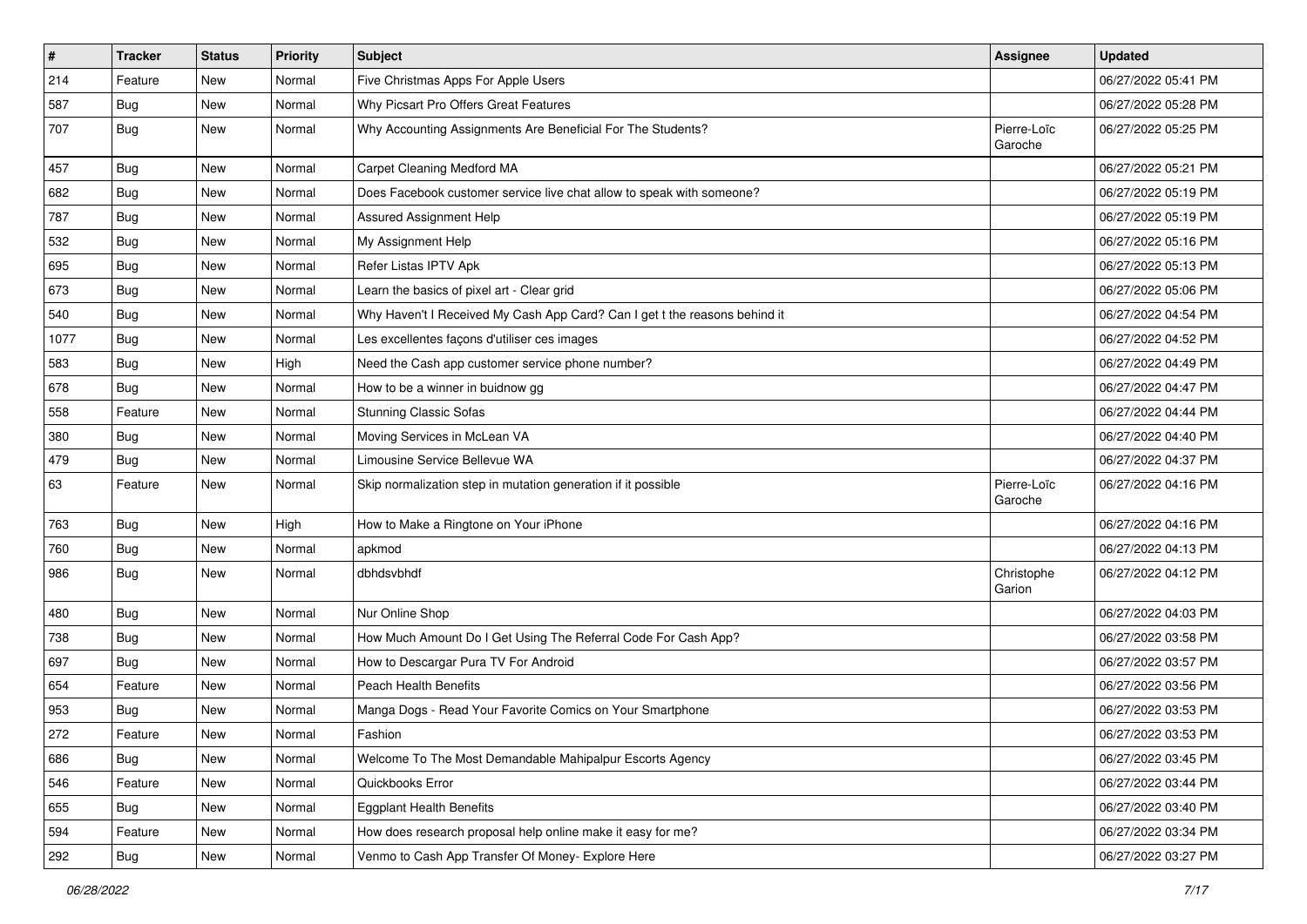| $\vert$ # | <b>Tracker</b> | <b>Status</b> | <b>Priority</b> | Subject                                                                    | <b>Assignee</b>        | <b>Updated</b>      |
|-----------|----------------|---------------|-----------------|----------------------------------------------------------------------------|------------------------|---------------------|
| 214       | Feature        | New           | Normal          | Five Christmas Apps For Apple Users                                        |                        | 06/27/2022 05:41 PM |
| 587       | <b>Bug</b>     | New           | Normal          | Why Picsart Pro Offers Great Features                                      |                        | 06/27/2022 05:28 PM |
| 707       | Bug            | New           | Normal          | Why Accounting Assignments Are Beneficial For The Students?                | Pierre-Loïc<br>Garoche | 06/27/2022 05:25 PM |
| 457       | <b>Bug</b>     | New           | Normal          | Carpet Cleaning Medford MA                                                 |                        | 06/27/2022 05:21 PM |
| 682       | Bug            | New           | Normal          | Does Facebook customer service live chat allow to speak with someone?      |                        | 06/27/2022 05:19 PM |
| 787       | <b>Bug</b>     | New           | Normal          | Assured Assignment Help                                                    |                        | 06/27/2022 05:19 PM |
| 532       | Bug            | New           | Normal          | My Assignment Help                                                         |                        | 06/27/2022 05:16 PM |
| 695       | <b>Bug</b>     | New           | Normal          | Refer Listas IPTV Apk                                                      |                        | 06/27/2022 05:13 PM |
| 673       | Bug            | New           | Normal          | Learn the basics of pixel art - Clear grid                                 |                        | 06/27/2022 05:06 PM |
| 540       | Bug            | New           | Normal          | Why Haven't I Received My Cash App Card? Can I get t the reasons behind it |                        | 06/27/2022 04:54 PM |
| 1077      | <b>Bug</b>     | <b>New</b>    | Normal          | Les excellentes façons d'utiliser ces images                               |                        | 06/27/2022 04:52 PM |
| 583       | Bug            | New           | High            | Need the Cash app customer service phone number?                           |                        | 06/27/2022 04:49 PM |
| 678       | <b>Bug</b>     | New           | Normal          | How to be a winner in buidnow gg                                           |                        | 06/27/2022 04:47 PM |
| 558       | Feature        | New           | Normal          | <b>Stunning Classic Sofas</b>                                              |                        | 06/27/2022 04:44 PM |
| 380       | <b>Bug</b>     | New           | Normal          | Moving Services in McLean VA                                               |                        | 06/27/2022 04:40 PM |
| 479       | <b>Bug</b>     | New           | Normal          | Limousine Service Bellevue WA                                              |                        | 06/27/2022 04:37 PM |
| 63        | Feature        | New           | Normal          | Skip normalization step in mutation generation if it possible              | Pierre-Loïc<br>Garoche | 06/27/2022 04:16 PM |
| 763       | <b>Bug</b>     | New           | High            | How to Make a Ringtone on Your iPhone                                      |                        | 06/27/2022 04:16 PM |
| 760       | Bug            | New           | Normal          | apkmod                                                                     |                        | 06/27/2022 04:13 PM |
| 986       | Bug            | New           | Normal          | dbhdsvbhdf                                                                 | Christophe<br>Garion   | 06/27/2022 04:12 PM |
| 480       | <b>Bug</b>     | New           | Normal          | Nur Online Shop                                                            |                        | 06/27/2022 04:03 PM |
| 738       | <b>Bug</b>     | New           | Normal          | How Much Amount Do I Get Using The Referral Code For Cash App?             |                        | 06/27/2022 03:58 PM |
| 697       | Bug            | New           | Normal          | How to Descargar Pura TV For Android                                       |                        | 06/27/2022 03:57 PM |
| 654       | Feature        | New           | Normal          | Peach Health Benefits                                                      |                        | 06/27/2022 03:56 PM |
| 953       | <b>Bug</b>     | New           | Normal          | Manga Dogs - Read Your Favorite Comics on Your Smartphone                  |                        | 06/27/2022 03:53 PM |
| 272       | Feature        | New           | Normal          | Fashion                                                                    |                        | 06/27/2022 03:53 PM |
| 686       | <b>Bug</b>     | New           | Normal          | Welcome To The Most Demandable Mahipalpur Escorts Agency                   |                        | 06/27/2022 03:45 PM |
| 546       | Feature        | New           | Normal          | Quickbooks Error                                                           |                        | 06/27/2022 03:44 PM |
| 655       | <b>Bug</b>     | New           | Normal          | <b>Eggplant Health Benefits</b>                                            |                        | 06/27/2022 03:40 PM |
| 594       | Feature        | New           | Normal          | How does research proposal help online make it easy for me?                |                        | 06/27/2022 03:34 PM |
| 292       | <b>Bug</b>     | New           | Normal          | Venmo to Cash App Transfer Of Money- Explore Here                          |                        | 06/27/2022 03:27 PM |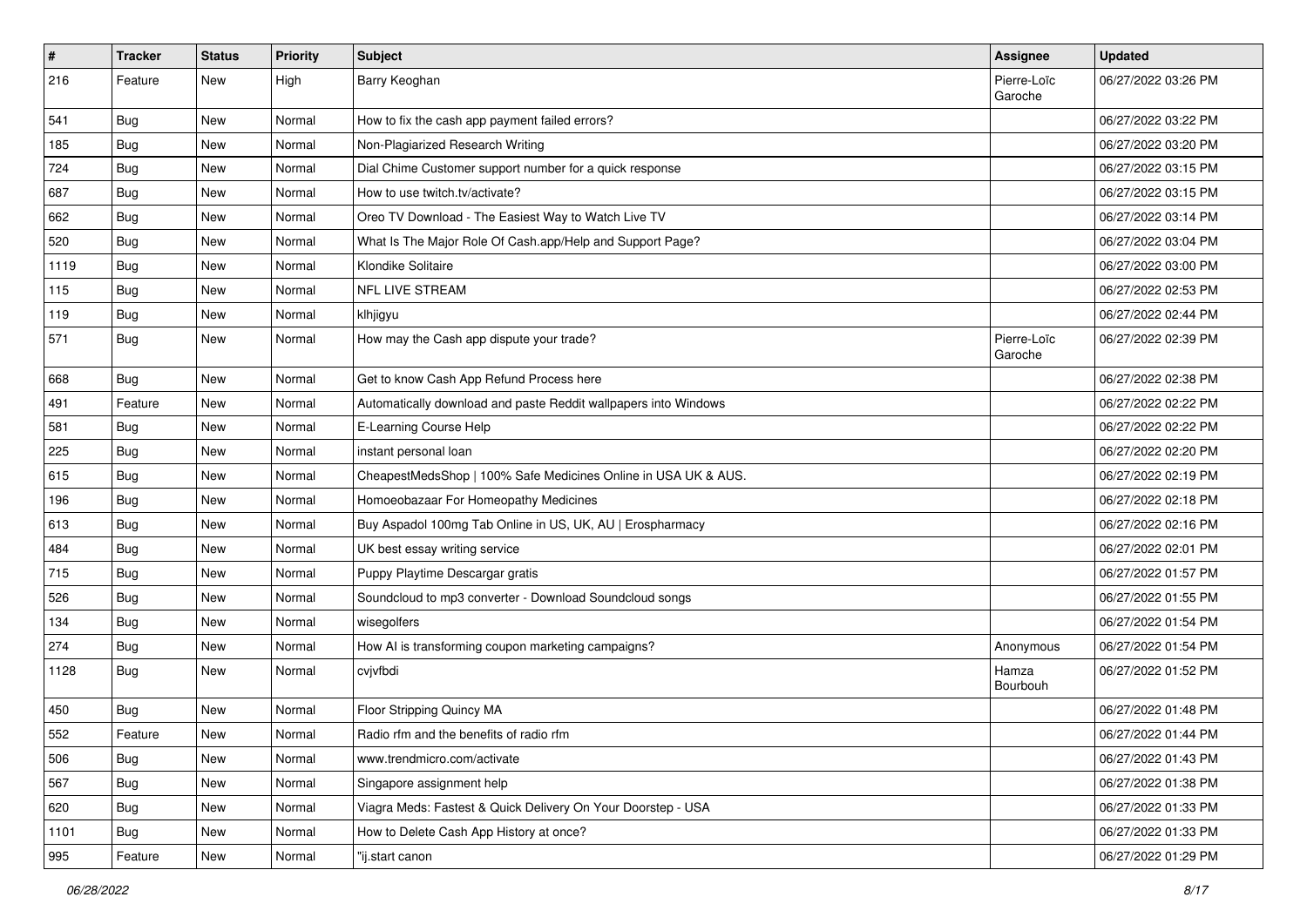| $\vert$ #     | <b>Tracker</b> | <b>Status</b> | <b>Priority</b> | Subject                                                         | <b>Assignee</b>        | <b>Updated</b>      |
|---------------|----------------|---------------|-----------------|-----------------------------------------------------------------|------------------------|---------------------|
| 216           | Feature        | New           | High            | Barry Keoghan                                                   | Pierre-Loïc<br>Garoche | 06/27/2022 03:26 PM |
| 541           | Bug            | New           | Normal          | How to fix the cash app payment failed errors?                  |                        | 06/27/2022 03:22 PM |
| 185           | <b>Bug</b>     | New           | Normal          | Non-Plagiarized Research Writing                                |                        | 06/27/2022 03:20 PM |
| 724           | <b>Bug</b>     | New           | Normal          | Dial Chime Customer support number for a quick response         |                        | 06/27/2022 03:15 PM |
| 687           | Bug            | New           | Normal          | How to use twitch.tv/activate?                                  |                        | 06/27/2022 03:15 PM |
| 662           | <b>Bug</b>     | New           | Normal          | Oreo TV Download - The Easiest Way to Watch Live TV             |                        | 06/27/2022 03:14 PM |
| 520           | Bug            | New           | Normal          | What Is The Major Role Of Cash.app/Help and Support Page?       |                        | 06/27/2022 03:04 PM |
| 1119          | <b>Bug</b>     | New           | Normal          | Klondike Solitaire                                              |                        | 06/27/2022 03:00 PM |
| 115           | <b>Bug</b>     | New           | Normal          | NFL LIVE STREAM                                                 |                        | 06/27/2022 02:53 PM |
| 119           | <b>Bug</b>     | New           | Normal          | klhjigyu                                                        |                        | 06/27/2022 02:44 PM |
| 571           | <b>Bug</b>     | New           | Normal          | How may the Cash app dispute your trade?                        | Pierre-Loïc<br>Garoche | 06/27/2022 02:39 PM |
| 668           | <b>Bug</b>     | New           | Normal          | Get to know Cash App Refund Process here                        |                        | 06/27/2022 02:38 PM |
| 491           | Feature        | New           | Normal          | Automatically download and paste Reddit wallpapers into Windows |                        | 06/27/2022 02:22 PM |
| 581           | Bug            | New           | Normal          | E-Learning Course Help                                          |                        | 06/27/2022 02:22 PM |
| 225           | <b>Bug</b>     | New           | Normal          | instant personal loan                                           |                        | 06/27/2022 02:20 PM |
| 615           | Bug            | New           | Normal          | CheapestMedsShop   100% Safe Medicines Online in USA UK & AUS.  |                        | 06/27/2022 02:19 PM |
| 196           | <b>Bug</b>     | New           | Normal          | Homoeobazaar For Homeopathy Medicines                           |                        | 06/27/2022 02:18 PM |
| 613           | <b>Bug</b>     | New           | Normal          | Buy Aspadol 100mg Tab Online in US, UK, AU   Erospharmacy       |                        | 06/27/2022 02:16 PM |
| 484           | Bug            | New           | Normal          | UK best essay writing service                                   |                        | 06/27/2022 02:01 PM |
| 715           | <b>Bug</b>     | New           | Normal          | Puppy Playtime Descargar gratis                                 |                        | 06/27/2022 01:57 PM |
| 526           | <b>Bug</b>     | New           | Normal          | Soundcloud to mp3 converter - Download Soundcloud songs         |                        | 06/27/2022 01:55 PM |
| 134           | <b>Bug</b>     | New           | Normal          | wisegolfers                                                     |                        | 06/27/2022 01:54 PM |
| 274           | <b>Bug</b>     | New           | Normal          | How AI is transforming coupon marketing campaigns?              | Anonymous              | 06/27/2022 01:54 PM |
| 1128          | Bug            | New           | Normal          | cvjvfbdi                                                        | Hamza<br>Bourbouh      | 06/27/2022 01:52 PM |
| 450           | <b>Bug</b>     | New           | Normal          | Floor Stripping Quincy MA                                       |                        | 06/27/2022 01:48 PM |
| 552<br>$\cup$ | Feature        | New           | Normal          | Radio rfm and the benefits of radio rfm                         |                        | 06/27/2022 01:44 PM |
| 506           | <b>Bug</b>     | New           | Normal          | www.trendmicro.com/activate                                     |                        | 06/27/2022 01:43 PM |
| 567           | Bug            | New           | Normal          | Singapore assignment help                                       |                        | 06/27/2022 01:38 PM |
| 620           | <b>Bug</b>     | New           | Normal          | Viagra Meds: Fastest & Quick Delivery On Your Doorstep - USA    |                        | 06/27/2022 01:33 PM |
| 1101          | <b>Bug</b>     | New           | Normal          | How to Delete Cash App History at once?                         |                        | 06/27/2022 01:33 PM |
| 995           | Feature        | New           | Normal          | "ij.start canon                                                 |                        | 06/27/2022 01:29 PM |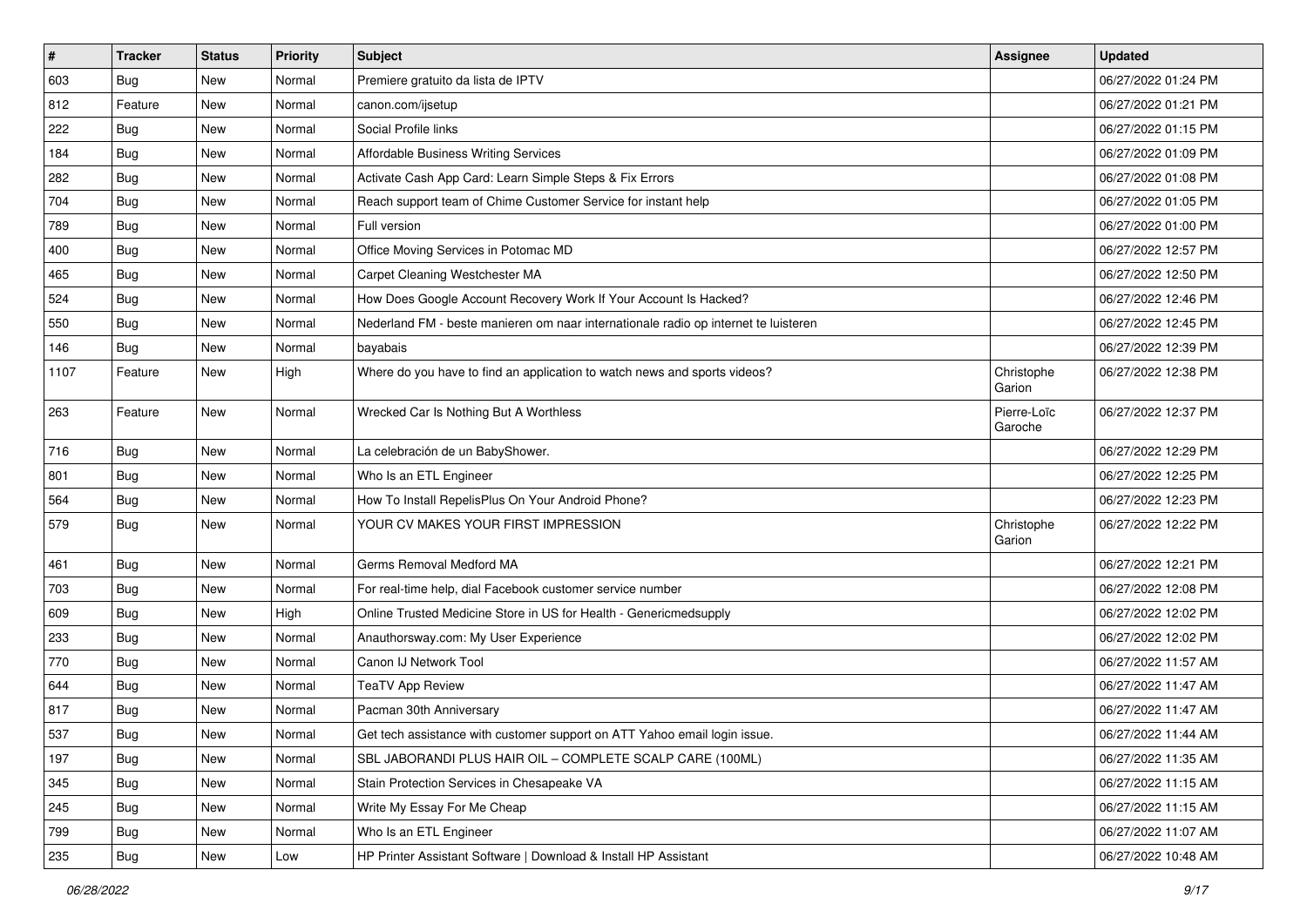| $\vert$ # | <b>Tracker</b> | <b>Status</b> | <b>Priority</b> | <b>Subject</b>                                                                      | <b>Assignee</b>        | <b>Updated</b>      |
|-----------|----------------|---------------|-----------------|-------------------------------------------------------------------------------------|------------------------|---------------------|
| 603       | <b>Bug</b>     | New           | Normal          | Premiere gratuito da lista de IPTV                                                  |                        | 06/27/2022 01:24 PM |
| 812       | Feature        | New           | Normal          | canon.com/ijsetup                                                                   |                        | 06/27/2022 01:21 PM |
| 222       | Bug            | New           | Normal          | Social Profile links                                                                |                        | 06/27/2022 01:15 PM |
| 184       | <b>Bug</b>     | New           | Normal          | <b>Affordable Business Writing Services</b>                                         |                        | 06/27/2022 01:09 PM |
| 282       | <b>Bug</b>     | New           | Normal          | Activate Cash App Card: Learn Simple Steps & Fix Errors                             |                        | 06/27/2022 01:08 PM |
| 704       | <b>Bug</b>     | New           | Normal          | Reach support team of Chime Customer Service for instant help                       |                        | 06/27/2022 01:05 PM |
| 789       | <b>Bug</b>     | New           | Normal          | Full version                                                                        |                        | 06/27/2022 01:00 PM |
| 400       | Bug            | New           | Normal          | Office Moving Services in Potomac MD                                                |                        | 06/27/2022 12:57 PM |
| 465       | <b>Bug</b>     | New           | Normal          | Carpet Cleaning Westchester MA                                                      |                        | 06/27/2022 12:50 PM |
| 524       | Bug            | New           | Normal          | How Does Google Account Recovery Work If Your Account Is Hacked?                    |                        | 06/27/2022 12:46 PM |
| 550       | <b>Bug</b>     | New           | Normal          | Nederland FM - beste manieren om naar internationale radio op internet te luisteren |                        | 06/27/2022 12:45 PM |
| 146       | <b>Bug</b>     | New           | Normal          | bayabais                                                                            |                        | 06/27/2022 12:39 PM |
| 1107      | Feature        | New           | High            | Where do you have to find an application to watch news and sports videos?           | Christophe<br>Garion   | 06/27/2022 12:38 PM |
| 263       | Feature        | New           | Normal          | Wrecked Car Is Nothing But A Worthless                                              | Pierre-Loïc<br>Garoche | 06/27/2022 12:37 PM |
| 716       | <b>Bug</b>     | New           | Normal          | La celebración de un BabyShower.                                                    |                        | 06/27/2022 12:29 PM |
| 801       | <b>Bug</b>     | New           | Normal          | Who Is an ETL Engineer                                                              |                        | 06/27/2022 12:25 PM |
| 564       | <b>Bug</b>     | New           | Normal          | How To Install RepelisPlus On Your Android Phone?                                   |                        | 06/27/2022 12:23 PM |
| 579       | <b>Bug</b>     | New           | Normal          | YOUR CV MAKES YOUR FIRST IMPRESSION                                                 | Christophe<br>Garion   | 06/27/2022 12:22 PM |
| 461       | Bug            | New           | Normal          | Germs Removal Medford MA                                                            |                        | 06/27/2022 12:21 PM |
| 703       | <b>Bug</b>     | New           | Normal          | For real-time help, dial Facebook customer service number                           |                        | 06/27/2022 12:08 PM |
| 609       | <b>Bug</b>     | New           | High            | Online Trusted Medicine Store in US for Health - Genericmedsupply                   |                        | 06/27/2022 12:02 PM |
| 233       | <b>Bug</b>     | New           | Normal          | Anauthorsway.com: My User Experience                                                |                        | 06/27/2022 12:02 PM |
| 770       | Bug            | New           | Normal          | Canon IJ Network Tool                                                               |                        | 06/27/2022 11:57 AM |
| 644       | <b>Bug</b>     | New           | Normal          | <b>TeaTV App Review</b>                                                             |                        | 06/27/2022 11:47 AM |
| 817       | <b>Bug</b>     | New           | Normal          | Pacman 30th Anniversary                                                             |                        | 06/27/2022 11:47 AM |
| 537       | <b>Bug</b>     | New           | Normal          | Get tech assistance with customer support on ATT Yahoo email login issue.           |                        | 06/27/2022 11:44 AM |
| 197       | <b>Bug</b>     | New           | Normal          | SBL JABORANDI PLUS HAIR OIL - COMPLETE SCALP CARE (100ML)                           |                        | 06/27/2022 11:35 AM |
| 345       | <b>Bug</b>     | New           | Normal          | Stain Protection Services in Chesapeake VA                                          |                        | 06/27/2022 11:15 AM |
| 245       | Bug            | New           | Normal          | Write My Essay For Me Cheap                                                         |                        | 06/27/2022 11:15 AM |
| 799       | Bug            | New           | Normal          | Who Is an ETL Engineer                                                              |                        | 06/27/2022 11:07 AM |
| 235       | <b>Bug</b>     | New           | Low             | HP Printer Assistant Software   Download & Install HP Assistant                     |                        | 06/27/2022 10:48 AM |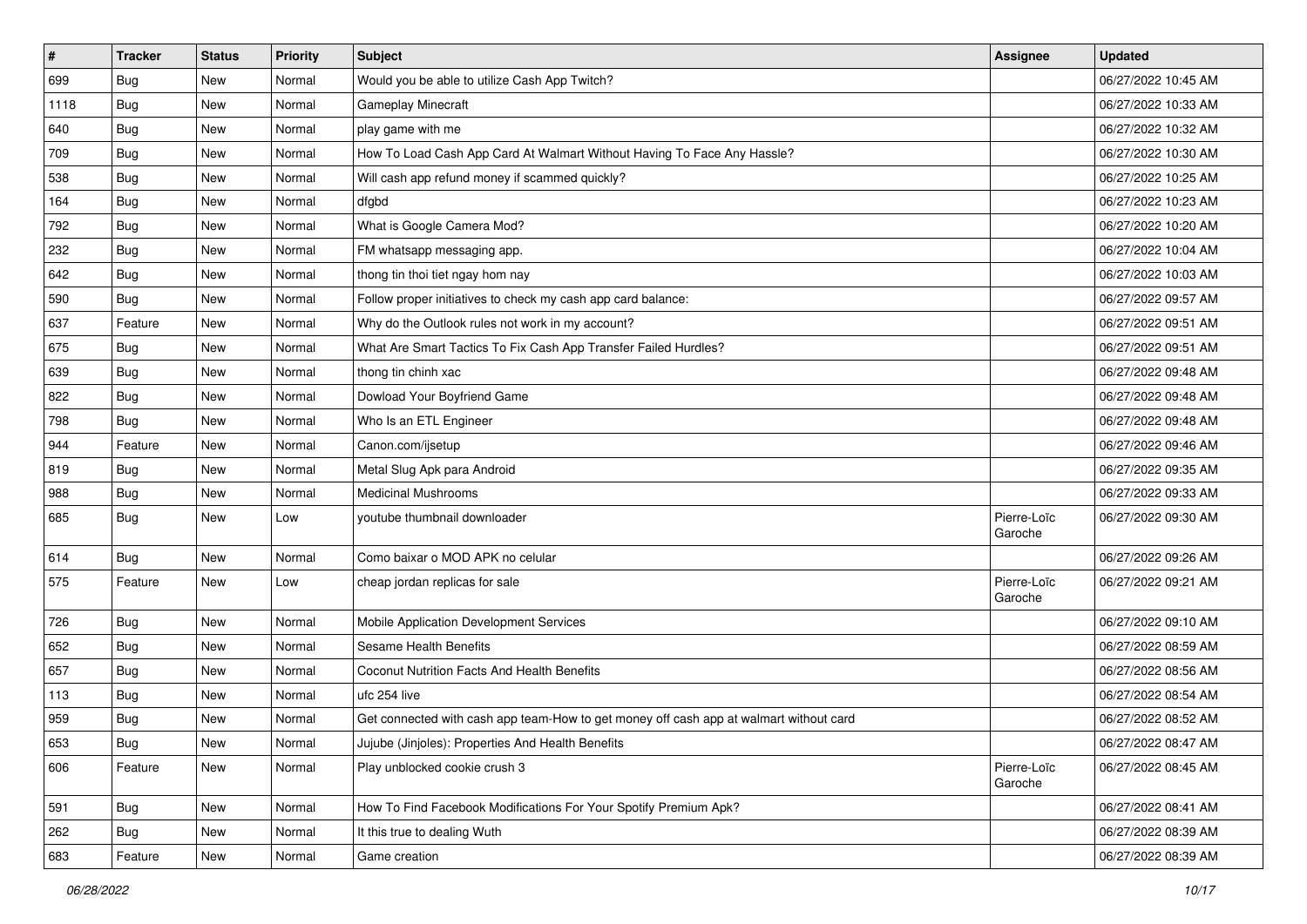| $\vert$ # | <b>Tracker</b> | <b>Status</b> | <b>Priority</b> | Subject                                                                                | <b>Assignee</b>        | <b>Updated</b>      |
|-----------|----------------|---------------|-----------------|----------------------------------------------------------------------------------------|------------------------|---------------------|
| 699       | <b>Bug</b>     | New           | Normal          | Would you be able to utilize Cash App Twitch?                                          |                        | 06/27/2022 10:45 AM |
| 1118      | <b>Bug</b>     | New           | Normal          | Gameplay Minecraft                                                                     |                        | 06/27/2022 10:33 AM |
| 640       | Bug            | New           | Normal          | play game with me                                                                      |                        | 06/27/2022 10:32 AM |
| 709       | Bug            | New           | Normal          | How To Load Cash App Card At Walmart Without Having To Face Any Hassle?                |                        | 06/27/2022 10:30 AM |
| 538       | <b>Bug</b>     | New           | Normal          | Will cash app refund money if scammed quickly?                                         |                        | 06/27/2022 10:25 AM |
| 164       | Bug            | New           | Normal          | dfgbd                                                                                  |                        | 06/27/2022 10:23 AM |
| 792       | Bug            | New           | Normal          | What is Google Camera Mod?                                                             |                        | 06/27/2022 10:20 AM |
| 232       | <b>Bug</b>     | New           | Normal          | FM whatsapp messaging app.                                                             |                        | 06/27/2022 10:04 AM |
| 642       | <b>Bug</b>     | New           | Normal          | thong tin thoi tiet ngay hom nay                                                       |                        | 06/27/2022 10:03 AM |
| 590       | Bug            | New           | Normal          | Follow proper initiatives to check my cash app card balance:                           |                        | 06/27/2022 09:57 AM |
| 637       | Feature        | New           | Normal          | Why do the Outlook rules not work in my account?                                       |                        | 06/27/2022 09:51 AM |
| 675       | <b>Bug</b>     | New           | Normal          | What Are Smart Tactics To Fix Cash App Transfer Failed Hurdles?                        |                        | 06/27/2022 09:51 AM |
| 639       | Bug            | New           | Normal          | thong tin chinh xac                                                                    |                        | 06/27/2022 09:48 AM |
| 822       | Bug            | New           | Normal          | Dowload Your Boyfriend Game                                                            |                        | 06/27/2022 09:48 AM |
| 798       | <b>Bug</b>     | New           | Normal          | Who Is an ETL Engineer                                                                 |                        | 06/27/2022 09:48 AM |
| 944       | Feature        | New           | Normal          | Canon.com/ijsetup                                                                      |                        | 06/27/2022 09:46 AM |
| 819       | Bug            | New           | Normal          | Metal Slug Apk para Android                                                            |                        | 06/27/2022 09:35 AM |
| 988       | Bug            | New           | Normal          | <b>Medicinal Mushrooms</b>                                                             |                        | 06/27/2022 09:33 AM |
| 685       | <b>Bug</b>     | New           | Low             | youtube thumbnail downloader                                                           | Pierre-Loïc<br>Garoche | 06/27/2022 09:30 AM |
| 614       | <b>Bug</b>     | <b>New</b>    | Normal          | Como baixar o MOD APK no celular                                                       |                        | 06/27/2022 09:26 AM |
| 575       | Feature        | New           | Low             | cheap jordan replicas for sale                                                         | Pierre-Loïc<br>Garoche | 06/27/2022 09:21 AM |
| 726       | <b>Bug</b>     | New           | Normal          | Mobile Application Development Services                                                |                        | 06/27/2022 09:10 AM |
| 652       | <b>Bug</b>     | New           | Normal          | <b>Sesame Health Benefits</b>                                                          |                        | 06/27/2022 08:59 AM |
| 657       | Bug            | New           | Normal          | <b>Coconut Nutrition Facts And Health Benefits</b>                                     |                        | 06/27/2022 08:56 AM |
| 113       | <b>Bug</b>     | New           | Normal          | ufc 254 live                                                                           |                        | 06/27/2022 08:54 AM |
| 959       | <b>Bug</b>     | New           | Normal          | Get connected with cash app team-How to get money off cash app at walmart without card |                        | 06/27/2022 08:52 AM |
| 653       | Bug            | New           | Normal          | Jujube (Jinjoles): Properties And Health Benefits                                      |                        | 06/27/2022 08:47 AM |
| 606       | Feature        | New           | Normal          | Play unblocked cookie crush 3                                                          | Pierre-Loïc<br>Garoche | 06/27/2022 08:45 AM |
| 591       | <b>Bug</b>     | New           | Normal          | How To Find Facebook Modifications For Your Spotify Premium Apk?                       |                        | 06/27/2022 08:41 AM |
| 262       | <b>Bug</b>     | New           | Normal          | It this true to dealing Wuth                                                           |                        | 06/27/2022 08:39 AM |
| 683       | Feature        | New           | Normal          | Game creation                                                                          |                        | 06/27/2022 08:39 AM |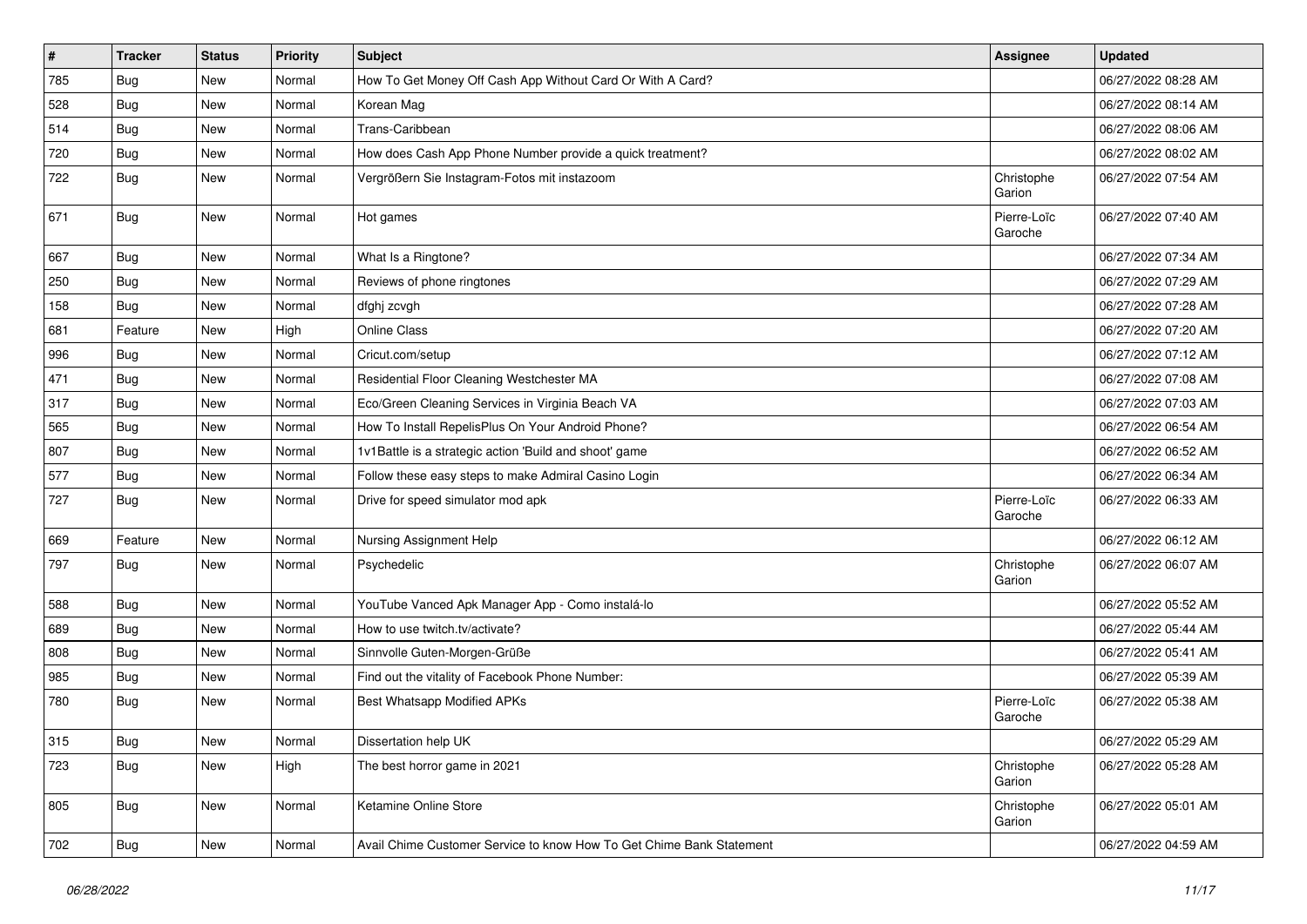| $\vert$ # | <b>Tracker</b> | <b>Status</b> | <b>Priority</b> | <b>Subject</b>                                                       | <b>Assignee</b>        | <b>Updated</b>      |
|-----------|----------------|---------------|-----------------|----------------------------------------------------------------------|------------------------|---------------------|
| 785       | Bug            | New           | Normal          | How To Get Money Off Cash App Without Card Or With A Card?           |                        | 06/27/2022 08:28 AM |
| 528       | <b>Bug</b>     | New           | Normal          | Korean Mag                                                           |                        | 06/27/2022 08:14 AM |
| 514       | <b>Bug</b>     | New           | Normal          | Trans-Caribbean                                                      |                        | 06/27/2022 08:06 AM |
| 720       | <b>Bug</b>     | New           | Normal          | How does Cash App Phone Number provide a quick treatment?            |                        | 06/27/2022 08:02 AM |
| 722       | <b>Bug</b>     | New           | Normal          | Vergrößern Sie Instagram-Fotos mit instazoom                         | Christophe<br>Garion   | 06/27/2022 07:54 AM |
| 671       | <b>Bug</b>     | New           | Normal          | Hot games                                                            | Pierre-Loïc<br>Garoche | 06/27/2022 07:40 AM |
| 667       | <b>Bug</b>     | New           | Normal          | What Is a Ringtone?                                                  |                        | 06/27/2022 07:34 AM |
| 250       | Bug            | New           | Normal          | Reviews of phone ringtones                                           |                        | 06/27/2022 07:29 AM |
| 158       | Bug            | New           | Normal          | dfghj zcvgh                                                          |                        | 06/27/2022 07:28 AM |
| 681       | Feature        | <b>New</b>    | High            | Online Class                                                         |                        | 06/27/2022 07:20 AM |
| 996       | <b>Bug</b>     | New           | Normal          | Cricut.com/setup                                                     |                        | 06/27/2022 07:12 AM |
| 471       | <b>Bug</b>     | New           | Normal          | Residential Floor Cleaning Westchester MA                            |                        | 06/27/2022 07:08 AM |
| 317       | <b>Bug</b>     | New           | Normal          | Eco/Green Cleaning Services in Virginia Beach VA                     |                        | 06/27/2022 07:03 AM |
| 565       | Bug            | New           | Normal          | How To Install RepelisPlus On Your Android Phone?                    |                        | 06/27/2022 06:54 AM |
| 807       | <b>Bug</b>     | New           | Normal          | 1v1Battle is a strategic action 'Build and shoot' game               |                        | 06/27/2022 06:52 AM |
| 577       | <b>Bug</b>     | New           | Normal          | Follow these easy steps to make Admiral Casino Login                 |                        | 06/27/2022 06:34 AM |
| 727       | Bug            | New           | Normal          | Drive for speed simulator mod apk                                    | Pierre-Loïc<br>Garoche | 06/27/2022 06:33 AM |
| 669       | Feature        | New           | Normal          | Nursing Assignment Help                                              |                        | 06/27/2022 06:12 AM |
| 797       | <b>Bug</b>     | New           | Normal          | Psychedelic                                                          | Christophe<br>Garion   | 06/27/2022 06:07 AM |
| 588       | Bug            | New           | Normal          | YouTube Vanced Apk Manager App - Como instalá-lo                     |                        | 06/27/2022 05:52 AM |
| 689       | <b>Bug</b>     | New           | Normal          | How to use twitch.tv/activate?                                       |                        | 06/27/2022 05:44 AM |
| 808       | <b>Bug</b>     | New           | Normal          | Sinnvolle Guten-Morgen-Grüße                                         |                        | 06/27/2022 05:41 AM |
| 985       | <b>Bug</b>     | New           | Normal          | Find out the vitality of Facebook Phone Number:                      |                        | 06/27/2022 05:39 AM |
| 780       | <b>Bug</b>     | New           | Normal          | <b>Best Whatsapp Modified APKs</b>                                   | Pierre-Loïc<br>Garoche | 06/27/2022 05:38 AM |
| 315       | Bug            | New           | Normal          | Dissertation help UK                                                 |                        | 06/27/2022 05:29 AM |
| 723       | Bug            | New           | High            | The best horror game in 2021                                         | Christophe<br>Garion   | 06/27/2022 05:28 AM |
| 805       | Bug            | New           | Normal          | Ketamine Online Store                                                | Christophe<br>Garion   | 06/27/2022 05:01 AM |
| 702       | Bug            | New           | Normal          | Avail Chime Customer Service to know How To Get Chime Bank Statement |                        | 06/27/2022 04:59 AM |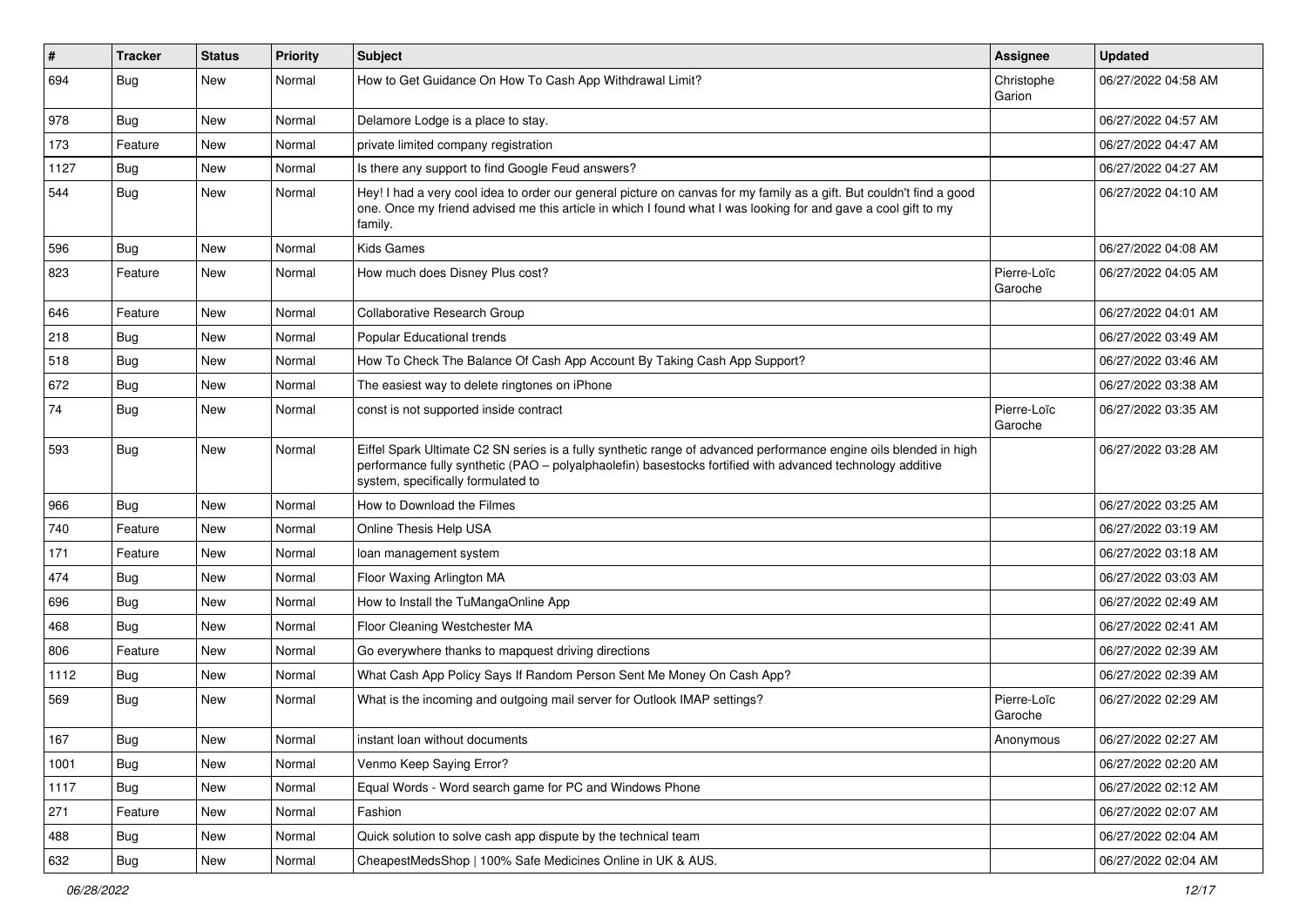| $\vert$ # | Tracker    | <b>Status</b> | <b>Priority</b> | Subject                                                                                                                                                                                                                                                               | <b>Assignee</b>        | <b>Updated</b>      |
|-----------|------------|---------------|-----------------|-----------------------------------------------------------------------------------------------------------------------------------------------------------------------------------------------------------------------------------------------------------------------|------------------------|---------------------|
| 694       | <b>Bug</b> | New           | Normal          | How to Get Guidance On How To Cash App Withdrawal Limit?                                                                                                                                                                                                              | Christophe<br>Garion   | 06/27/2022 04:58 AM |
| 978       | <b>Bug</b> | New           | Normal          | Delamore Lodge is a place to stay.                                                                                                                                                                                                                                    |                        | 06/27/2022 04:57 AM |
| 173       | Feature    | New           | Normal          | private limited company registration                                                                                                                                                                                                                                  |                        | 06/27/2022 04:47 AM |
| 1127      | Bug        | New           | Normal          | Is there any support to find Google Feud answers?                                                                                                                                                                                                                     |                        | 06/27/2022 04:27 AM |
| 544       | <b>Bug</b> | New           | Normal          | Hey! I had a very cool idea to order our general picture on canvas for my family as a gift. But couldn't find a good<br>one. Once my friend advised me this article in which I found what I was looking for and gave a cool gift to my<br>family.                     |                        | 06/27/2022 04:10 AM |
| 596       | Bug        | New           | Normal          | <b>Kids Games</b>                                                                                                                                                                                                                                                     |                        | 06/27/2022 04:08 AM |
| 823       | Feature    | New           | Normal          | How much does Disney Plus cost?                                                                                                                                                                                                                                       | Pierre-Loïc<br>Garoche | 06/27/2022 04:05 AM |
| 646       | Feature    | <b>New</b>    | Normal          | <b>Collaborative Research Group</b>                                                                                                                                                                                                                                   |                        | 06/27/2022 04:01 AM |
| 218       | Bug        | New           | Normal          | Popular Educational trends                                                                                                                                                                                                                                            |                        | 06/27/2022 03:49 AM |
| 518       | <b>Bug</b> | New           | Normal          | How To Check The Balance Of Cash App Account By Taking Cash App Support?                                                                                                                                                                                              |                        | 06/27/2022 03:46 AM |
| 672       | <b>Bug</b> | New           | Normal          | The easiest way to delete ringtones on iPhone                                                                                                                                                                                                                         |                        | 06/27/2022 03:38 AM |
| 74        | Bug        | New           | Normal          | const is not supported inside contract                                                                                                                                                                                                                                | Pierre-Loïc<br>Garoche | 06/27/2022 03:35 AM |
| 593       | Bug        | New           | Normal          | Eiffel Spark Ultimate C2 SN series is a fully synthetic range of advanced performance engine oils blended in high<br>performance fully synthetic (PAO – polyalphaolefin) basestocks fortified with advanced technology additive<br>system, specifically formulated to |                        | 06/27/2022 03:28 AM |
| 966       | <b>Bug</b> | New           | Normal          | How to Download the Filmes                                                                                                                                                                                                                                            |                        | 06/27/2022 03:25 AM |
| 740       | Feature    | New           | Normal          | Online Thesis Help USA                                                                                                                                                                                                                                                |                        | 06/27/2022 03:19 AM |
| 171       | Feature    | New           | Normal          | loan management system                                                                                                                                                                                                                                                |                        | 06/27/2022 03:18 AM |
| 474       | Bug        | New           | Normal          | Floor Waxing Arlington MA                                                                                                                                                                                                                                             |                        | 06/27/2022 03:03 AM |
| 696       | Bug        | New           | Normal          | How to Install the TuMangaOnline App                                                                                                                                                                                                                                  |                        | 06/27/2022 02:49 AM |
| 468       | Bug        | <b>New</b>    | Normal          | Floor Cleaning Westchester MA                                                                                                                                                                                                                                         |                        | 06/27/2022 02:41 AM |
| 806       | Feature    | New           | Normal          | Go everywhere thanks to mapquest driving directions                                                                                                                                                                                                                   |                        | 06/27/2022 02:39 AM |
| 1112      | <b>Bug</b> | New           | Normal          | What Cash App Policy Says If Random Person Sent Me Money On Cash App?                                                                                                                                                                                                 |                        | 06/27/2022 02:39 AM |
| 569       | Bug        | New           | Normal          | What is the incoming and outgoing mail server for Outlook IMAP settings?                                                                                                                                                                                              | Pierre-Loïc<br>Garoche | 06/27/2022 02:29 AM |
| 167       | Bug        | New           | Normal          | instant loan without documents                                                                                                                                                                                                                                        | Anonymous              | 06/27/2022 02:27 AM |
| 1001      | <b>Bug</b> | New           | Normal          | Venmo Keep Saying Error?                                                                                                                                                                                                                                              |                        | 06/27/2022 02:20 AM |
| 1117      | Bug        | New           | Normal          | Equal Words - Word search game for PC and Windows Phone                                                                                                                                                                                                               |                        | 06/27/2022 02:12 AM |
| 271       | Feature    | New           | Normal          | Fashion                                                                                                                                                                                                                                                               |                        | 06/27/2022 02:07 AM |
| 488       | <b>Bug</b> | New           | Normal          | Quick solution to solve cash app dispute by the technical team                                                                                                                                                                                                        |                        | 06/27/2022 02:04 AM |
| 632       | <b>Bug</b> | New           | Normal          | CheapestMedsShop   100% Safe Medicines Online in UK & AUS.                                                                                                                                                                                                            |                        | 06/27/2022 02:04 AM |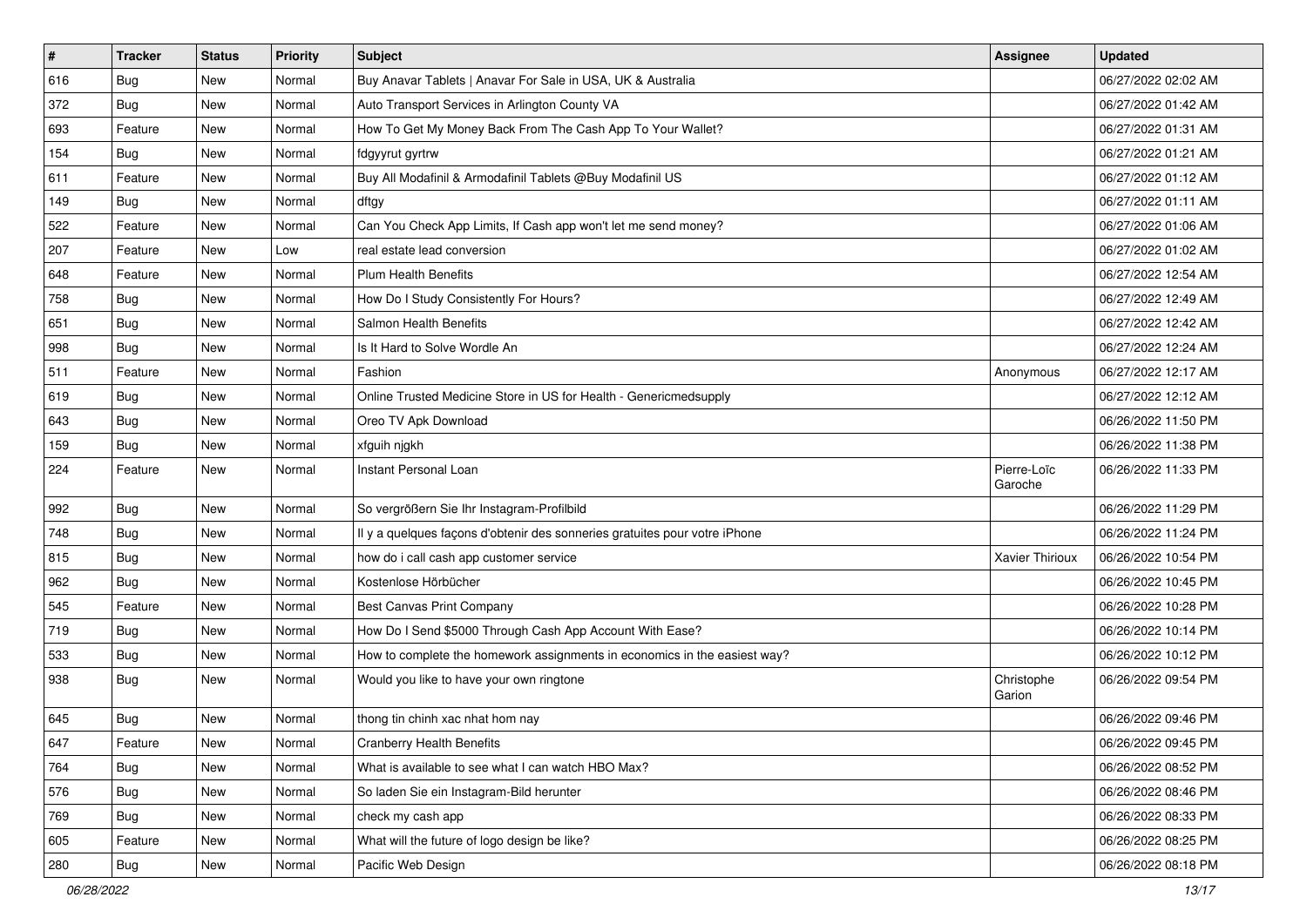| $\vert$ # | <b>Tracker</b> | <b>Status</b> | <b>Priority</b> | Subject                                                                    | <b>Assignee</b>        | <b>Updated</b>      |
|-----------|----------------|---------------|-----------------|----------------------------------------------------------------------------|------------------------|---------------------|
| 616       | <b>Bug</b>     | New           | Normal          | Buy Anavar Tablets   Anavar For Sale in USA, UK & Australia                |                        | 06/27/2022 02:02 AM |
| 372       | <b>Bug</b>     | New           | Normal          | Auto Transport Services in Arlington County VA                             |                        | 06/27/2022 01:42 AM |
| 693       | Feature        | New           | Normal          | How To Get My Money Back From The Cash App To Your Wallet?                 |                        | 06/27/2022 01:31 AM |
| 154       | <b>Bug</b>     | New           | Normal          | fdgyyrut gyrtrw                                                            |                        | 06/27/2022 01:21 AM |
| 611       | Feature        | New           | Normal          | Buy All Modafinil & Armodafinil Tablets @Buy Modafinil US                  |                        | 06/27/2022 01:12 AM |
| 149       | <b>Bug</b>     | New           | Normal          | dftgy                                                                      |                        | 06/27/2022 01:11 AM |
| 522       | Feature        | New           | Normal          | Can You Check App Limits, If Cash app won't let me send money?             |                        | 06/27/2022 01:06 AM |
| 207       | Feature        | New           | Low             | real estate lead conversion                                                |                        | 06/27/2022 01:02 AM |
| 648       | Feature        | New           | Normal          | <b>Plum Health Benefits</b>                                                |                        | 06/27/2022 12:54 AM |
| 758       | Bug            | New           | Normal          | How Do I Study Consistently For Hours?                                     |                        | 06/27/2022 12:49 AM |
| 651       | <b>Bug</b>     | New           | Normal          | Salmon Health Benefits                                                     |                        | 06/27/2022 12:42 AM |
| 998       | <b>Bug</b>     | New           | Normal          | Is It Hard to Solve Wordle An                                              |                        | 06/27/2022 12:24 AM |
| 511       | Feature        | <b>New</b>    | Normal          | Fashion                                                                    | Anonymous              | 06/27/2022 12:17 AM |
| 619       | <b>Bug</b>     | New           | Normal          | Online Trusted Medicine Store in US for Health - Genericmedsupply          |                        | 06/27/2022 12:12 AM |
| 643       | <b>Bug</b>     | New           | Normal          | Oreo TV Apk Download                                                       |                        | 06/26/2022 11:50 PM |
| 159       | <b>Bug</b>     | New           | Normal          | xfguih njgkh                                                               |                        | 06/26/2022 11:38 PM |
| 224       | Feature        | New           | Normal          | Instant Personal Loan                                                      | Pierre-Loïc<br>Garoche | 06/26/2022 11:33 PM |
| 992       | Bug            | New           | Normal          | So vergrößern Sie Ihr Instagram-Profilbild                                 |                        | 06/26/2022 11:29 PM |
| 748       | Bug            | New           | Normal          | Il y a quelques façons d'obtenir des sonneries gratuites pour votre iPhone |                        | 06/26/2022 11:24 PM |
| 815       | Bug            | <b>New</b>    | Normal          | how do i call cash app customer service                                    | Xavier Thirioux        | 06/26/2022 10:54 PM |
| 962       | Bug            | New           | Normal          | Kostenlose Hörbücher                                                       |                        | 06/26/2022 10:45 PM |
| 545       | Feature        | New           | Normal          | Best Canvas Print Company                                                  |                        | 06/26/2022 10:28 PM |
| 719       | <b>Bug</b>     | New           | Normal          | How Do I Send \$5000 Through Cash App Account With Ease?                   |                        | 06/26/2022 10:14 PM |
| 533       | <b>Bug</b>     | New           | Normal          | How to complete the homework assignments in economics in the easiest way?  |                        | 06/26/2022 10:12 PM |
| 938       | Bug            | New           | Normal          | Would you like to have your own ringtone                                   | Christophe<br>Garion   | 06/26/2022 09:54 PM |
| 645       | <b>Bug</b>     | New           | Normal          | thong tin chinh xac nhat hom nay                                           |                        | 06/26/2022 09:46 PM |
| 647       | Feature        | New           | Normal          | <b>Cranberry Health Benefits</b>                                           |                        | 06/26/2022 09:45 PM |
| 764       | <b>Bug</b>     | New           | Normal          | What is available to see what I can watch HBO Max?                         |                        | 06/26/2022 08:52 PM |
| 576       | Bug            | New           | Normal          | So laden Sie ein Instagram-Bild herunter                                   |                        | 06/26/2022 08:46 PM |
| 769       | <b>Bug</b>     | New           | Normal          | check my cash app                                                          |                        | 06/26/2022 08:33 PM |
| 605       | Feature        | New           | Normal          | What will the future of logo design be like?                               |                        | 06/26/2022 08:25 PM |
| 280       | Bug            | New           | Normal          | Pacific Web Design                                                         |                        | 06/26/2022 08:18 PM |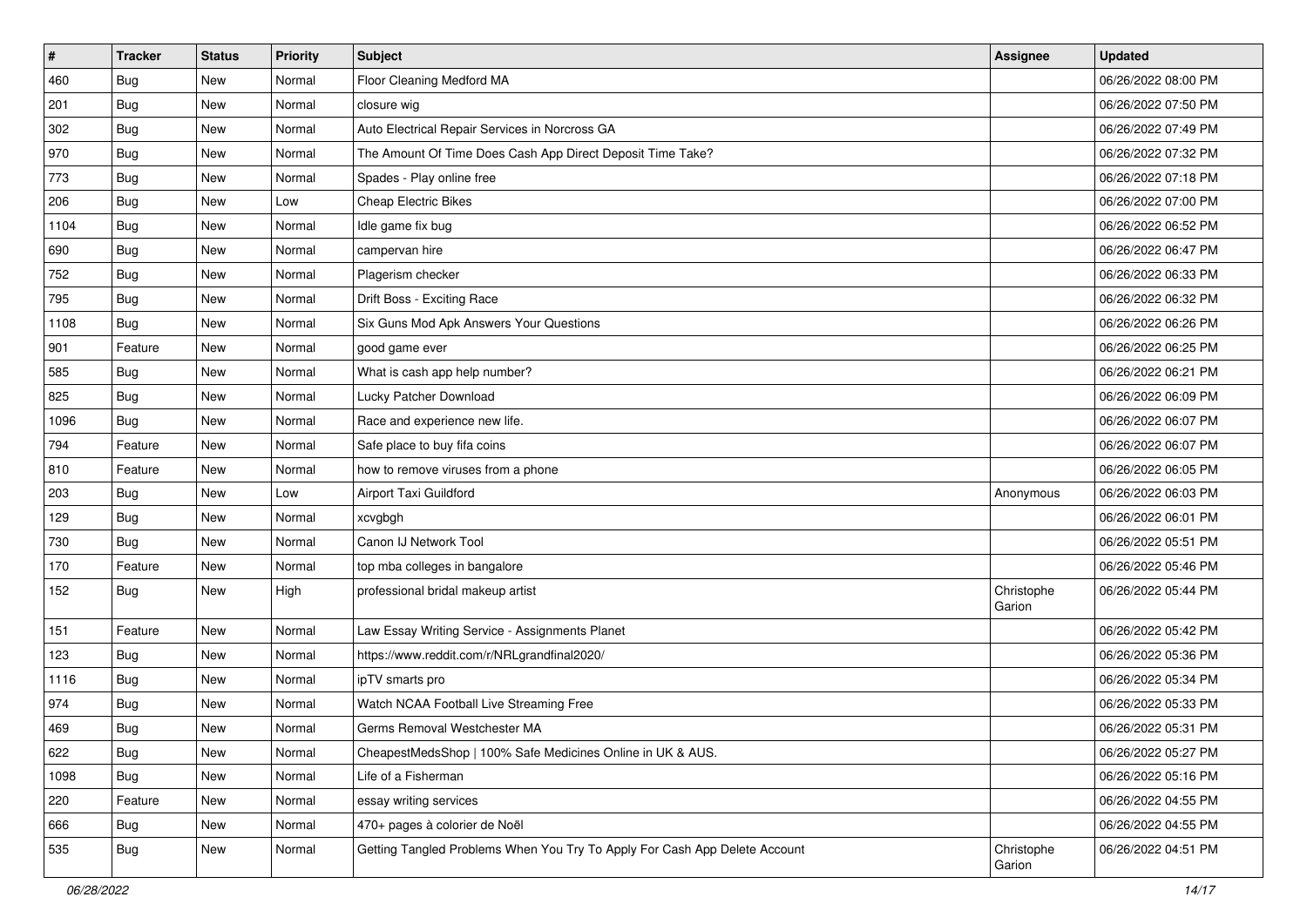| $\vert$ # | <b>Tracker</b> | <b>Status</b> | <b>Priority</b> | Subject                                                                    | <b>Assignee</b>      | <b>Updated</b>      |
|-----------|----------------|---------------|-----------------|----------------------------------------------------------------------------|----------------------|---------------------|
| 460       | <b>Bug</b>     | New           | Normal          | Floor Cleaning Medford MA                                                  |                      | 06/26/2022 08:00 PM |
| 201       | <b>Bug</b>     | New           | Normal          | closure wig                                                                |                      | 06/26/2022 07:50 PM |
| 302       | Bug            | New           | Normal          | Auto Electrical Repair Services in Norcross GA                             |                      | 06/26/2022 07:49 PM |
| 970       | <b>Bug</b>     | New           | Normal          | The Amount Of Time Does Cash App Direct Deposit Time Take?                 |                      | 06/26/2022 07:32 PM |
| 773       | Bug            | New           | Normal          | Spades - Play online free                                                  |                      | 06/26/2022 07:18 PM |
| 206       | <b>Bug</b>     | New           | Low             | <b>Cheap Electric Bikes</b>                                                |                      | 06/26/2022 07:00 PM |
| 1104      | Bug            | New           | Normal          | Idle game fix bug                                                          |                      | 06/26/2022 06:52 PM |
| 690       | <b>Bug</b>     | New           | Normal          | campervan hire                                                             |                      | 06/26/2022 06:47 PM |
| 752       | <b>Bug</b>     | New           | Normal          | Plagerism checker                                                          |                      | 06/26/2022 06:33 PM |
| 795       | <b>Bug</b>     | New           | Normal          | Drift Boss - Exciting Race                                                 |                      | 06/26/2022 06:32 PM |
| 1108      | Bug            | New           | Normal          | Six Guns Mod Apk Answers Your Questions                                    |                      | 06/26/2022 06:26 PM |
| 901       | Feature        | New           | Normal          | good game ever                                                             |                      | 06/26/2022 06:25 PM |
| 585       | Bug            | New           | Normal          | What is cash app help number?                                              |                      | 06/26/2022 06:21 PM |
| 825       | Bug            | New           | Normal          | Lucky Patcher Download                                                     |                      | 06/26/2022 06:09 PM |
| 1096      | <b>Bug</b>     | New           | Normal          | Race and experience new life.                                              |                      | 06/26/2022 06:07 PM |
| 794       | Feature        | New           | Normal          | Safe place to buy fifa coins                                               |                      | 06/26/2022 06:07 PM |
| 810       | Feature        | New           | Normal          | how to remove viruses from a phone                                         |                      | 06/26/2022 06:05 PM |
| 203       | Bug            | New           | Low             | Airport Taxi Guildford                                                     | Anonymous            | 06/26/2022 06:03 PM |
| 129       | Bug            | New           | Normal          | xcvgbgh                                                                    |                      | 06/26/2022 06:01 PM |
| 730       | <b>Bug</b>     | New           | Normal          | Canon IJ Network Tool                                                      |                      | 06/26/2022 05:51 PM |
| 170       | Feature        | New           | Normal          | top mba colleges in bangalore                                              |                      | 06/26/2022 05:46 PM |
| 152       | <b>Bug</b>     | New           | High            | professional bridal makeup artist                                          | Christophe<br>Garion | 06/26/2022 05:44 PM |
| 151       | Feature        | New           | Normal          | Law Essay Writing Service - Assignments Planet                             |                      | 06/26/2022 05:42 PM |
| 123       | Bug            | New           | Normal          | https://www.reddit.com/r/NRLgrandfinal2020/                                |                      | 06/26/2022 05:36 PM |
| 1116      | Bug            | New           | Normal          | ipTV smarts pro                                                            |                      | 06/26/2022 05:34 PM |
| 974       | Bug            | New           | Normal          | Watch NCAA Football Live Streaming Free                                    |                      | 06/26/2022 05:33 PM |
| 469       | <b>Bug</b>     | New           | Normal          | Germs Removal Westchester MA                                               |                      | 06/26/2022 05:31 PM |
| 622       | <b>Bug</b>     | New           | Normal          | CheapestMedsShop   100% Safe Medicines Online in UK & AUS.                 |                      | 06/26/2022 05:27 PM |
| 1098      | <b>Bug</b>     | New           | Normal          | Life of a Fisherman                                                        |                      | 06/26/2022 05:16 PM |
| 220       | Feature        | New           | Normal          | essay writing services                                                     |                      | 06/26/2022 04:55 PM |
| 666       | <b>Bug</b>     | New           | Normal          | 470+ pages à colorier de Noël                                              |                      | 06/26/2022 04:55 PM |
| 535       | <b>Bug</b>     | New           | Normal          | Getting Tangled Problems When You Try To Apply For Cash App Delete Account | Christophe<br>Garion | 06/26/2022 04:51 PM |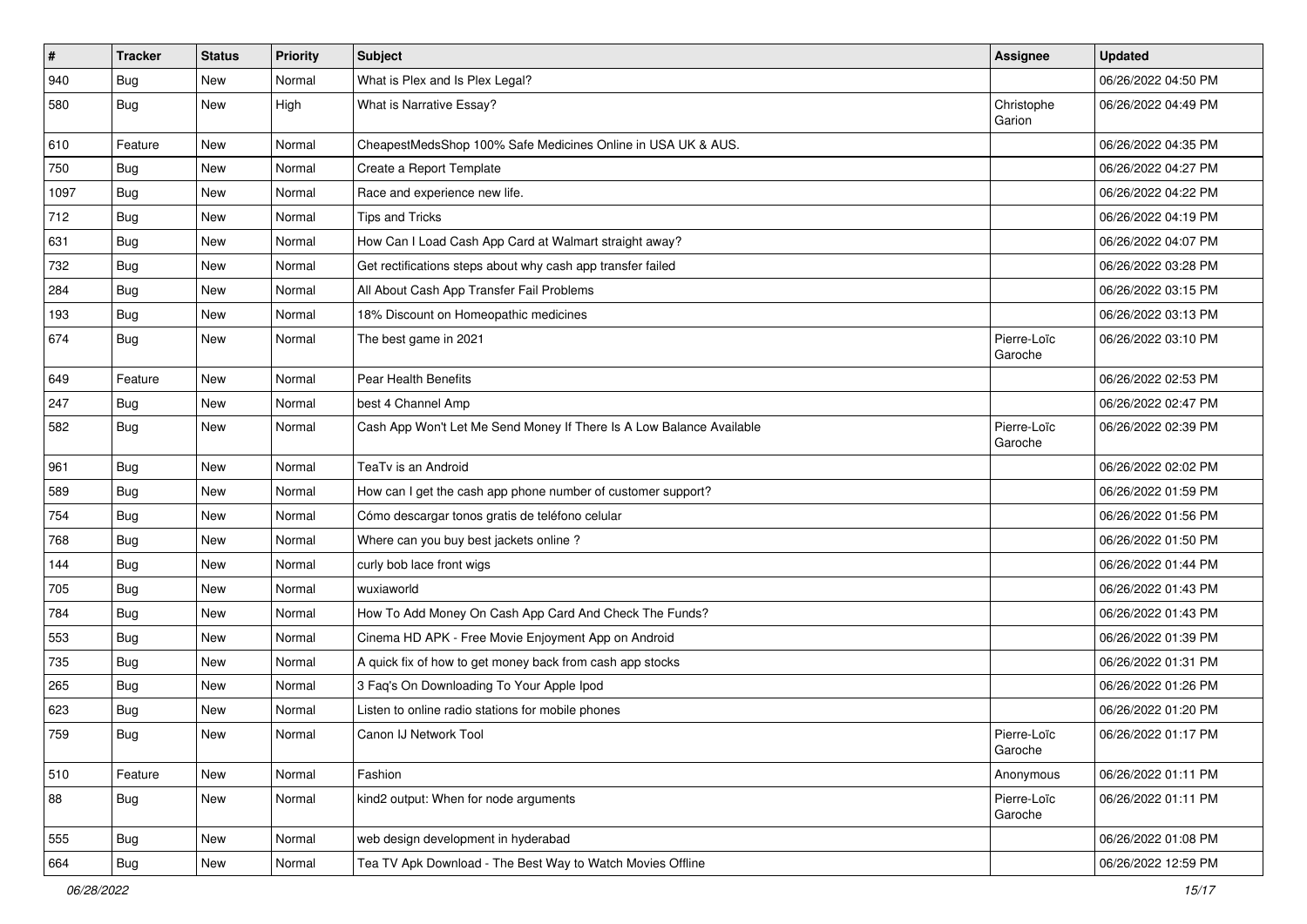| $\vert$ #     | <b>Tracker</b> | <b>Status</b> | Priority | <b>Subject</b>                                                       | <b>Assignee</b>        | <b>Updated</b>      |
|---------------|----------------|---------------|----------|----------------------------------------------------------------------|------------------------|---------------------|
| $ 940\rangle$ | <b>Bug</b>     | New           | Normal   | What is Plex and Is Plex Legal?                                      |                        | 06/26/2022 04:50 PM |
| 580           | <b>Bug</b>     | New           | High     | What is Narrative Essay?                                             | Christophe<br>Garion   | 06/26/2022 04:49 PM |
| 610           | Feature        | New           | Normal   | CheapestMedsShop 100% Safe Medicines Online in USA UK & AUS.         |                        | 06/26/2022 04:35 PM |
| 750           | <b>Bug</b>     | New           | Normal   | Create a Report Template                                             |                        | 06/26/2022 04:27 PM |
| 1097          | Bug            | New           | Normal   | Race and experience new life.                                        |                        | 06/26/2022 04:22 PM |
| 712           | <b>Bug</b>     | New           | Normal   | <b>Tips and Tricks</b>                                               |                        | 06/26/2022 04:19 PM |
| 631           | Bug            | New           | Normal   | How Can I Load Cash App Card at Walmart straight away?               |                        | 06/26/2022 04:07 PM |
| 732           | Bug            | New           | Normal   | Get rectifications steps about why cash app transfer failed          |                        | 06/26/2022 03:28 PM |
| 284           | <b>Bug</b>     | New           | Normal   | All About Cash App Transfer Fail Problems                            |                        | 06/26/2022 03:15 PM |
| 193           | Bug            | New           | Normal   | 18% Discount on Homeopathic medicines                                |                        | 06/26/2022 03:13 PM |
| 674           | <b>Bug</b>     | New           | Normal   | The best game in 2021                                                | Pierre-Loïc<br>Garoche | 06/26/2022 03:10 PM |
| 649           | Feature        | New           | Normal   | Pear Health Benefits                                                 |                        | 06/26/2022 02:53 PM |
| 247           | Bug            | New           | Normal   | best 4 Channel Amp                                                   |                        | 06/26/2022 02:47 PM |
| 582           | Bug            | New           | Normal   | Cash App Won't Let Me Send Money If There Is A Low Balance Available | Pierre-Loïc<br>Garoche | 06/26/2022 02:39 PM |
| 961           | Bug            | New           | Normal   | TeaTv is an Android                                                  |                        | 06/26/2022 02:02 PM |
| 589           | Bug            | New           | Normal   | How can I get the cash app phone number of customer support?         |                        | 06/26/2022 01:59 PM |
| 754           | <b>Bug</b>     | New           | Normal   | Cómo descargar tonos gratis de teléfono celular                      |                        | 06/26/2022 01:56 PM |
| 768           | Bug            | New           | Normal   | Where can you buy best jackets online?                               |                        | 06/26/2022 01:50 PM |
| 144           | <b>Bug</b>     | New           | Normal   | curly bob lace front wigs                                            |                        | 06/26/2022 01:44 PM |
| 705           | <b>Bug</b>     | New           | Normal   | wuxiaworld                                                           |                        | 06/26/2022 01:43 PM |
| 784           | Bug            | New           | Normal   | How To Add Money On Cash App Card And Check The Funds?               |                        | 06/26/2022 01:43 PM |
| 553           | <b>Bug</b>     | New           | Normal   | Cinema HD APK - Free Movie Enjoyment App on Android                  |                        | 06/26/2022 01:39 PM |
| 735           | Bug            | New           | Normal   | A quick fix of how to get money back from cash app stocks            |                        | 06/26/2022 01:31 PM |
| 265           | <b>Bug</b>     | New           | Normal   | 3 Faq's On Downloading To Your Apple Ipod                            |                        | 06/26/2022 01:26 PM |
| 623           | <b>Bug</b>     | New           | Normal   | Listen to online radio stations for mobile phones                    |                        | 06/26/2022 01:20 PM |
| 759           | <b>Bug</b>     | New           | Normal   | Canon IJ Network Tool                                                | Pierre-Loïc<br>Garoche | 06/26/2022 01:17 PM |
| 510           | Feature        | New           | Normal   | Fashion                                                              | Anonymous              | 06/26/2022 01:11 PM |
| 88            | <b>Bug</b>     | New           | Normal   | kind2 output: When for node arguments                                | Pierre-Loïc<br>Garoche | 06/26/2022 01:11 PM |
| 555           | Bug            | New           | Normal   | web design development in hyderabad                                  |                        | 06/26/2022 01:08 PM |
| 664           | Bug            | New           | Normal   | Tea TV Apk Download - The Best Way to Watch Movies Offline           |                        | 06/26/2022 12:59 PM |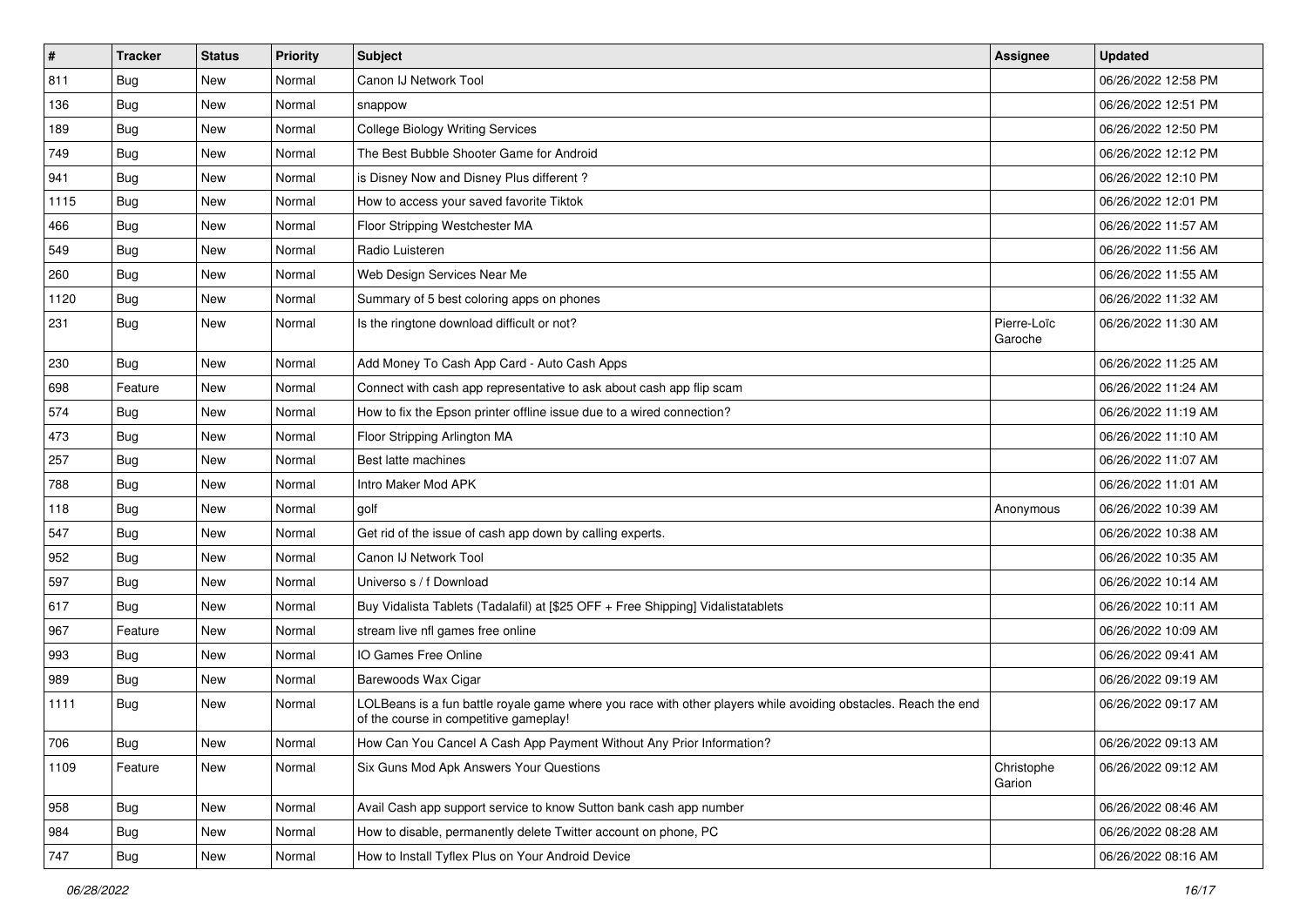| $\vert$ # | <b>Tracker</b> | <b>Status</b> | <b>Priority</b> | Subject                                                                                                                                                  | <b>Assignee</b>        | <b>Updated</b>      |
|-----------|----------------|---------------|-----------------|----------------------------------------------------------------------------------------------------------------------------------------------------------|------------------------|---------------------|
| 811       | <b>Bug</b>     | New           | Normal          | Canon IJ Network Tool                                                                                                                                    |                        | 06/26/2022 12:58 PM |
| 136       | Bug            | New           | Normal          | snappow                                                                                                                                                  |                        | 06/26/2022 12:51 PM |
| 189       | Bug            | New           | Normal          | <b>College Biology Writing Services</b>                                                                                                                  |                        | 06/26/2022 12:50 PM |
| 749       | <b>Bug</b>     | New           | Normal          | The Best Bubble Shooter Game for Android                                                                                                                 |                        | 06/26/2022 12:12 PM |
| 941       | Bug            | New           | Normal          | is Disney Now and Disney Plus different?                                                                                                                 |                        | 06/26/2022 12:10 PM |
| 1115      | <b>Bug</b>     | New           | Normal          | How to access your saved favorite Tiktok                                                                                                                 |                        | 06/26/2022 12:01 PM |
| 466       | <b>Bug</b>     | New           | Normal          | Floor Stripping Westchester MA                                                                                                                           |                        | 06/26/2022 11:57 AM |
| 549       | <b>Bug</b>     | New           | Normal          | Radio Luisteren                                                                                                                                          |                        | 06/26/2022 11:56 AM |
| 260       | <b>Bug</b>     | New           | Normal          | Web Design Services Near Me                                                                                                                              |                        | 06/26/2022 11:55 AM |
| 1120      | <b>Bug</b>     | New           | Normal          | Summary of 5 best coloring apps on phones                                                                                                                |                        | 06/26/2022 11:32 AM |
| 231       | Bug            | New           | Normal          | Is the ringtone download difficult or not?                                                                                                               | Pierre-Loïc<br>Garoche | 06/26/2022 11:30 AM |
| 230       | Bug            | New           | Normal          | Add Money To Cash App Card - Auto Cash Apps                                                                                                              |                        | 06/26/2022 11:25 AM |
| 698       | Feature        | New           | Normal          | Connect with cash app representative to ask about cash app flip scam                                                                                     |                        | 06/26/2022 11:24 AM |
| 574       | Bug            | New           | Normal          | How to fix the Epson printer offline issue due to a wired connection?                                                                                    |                        | 06/26/2022 11:19 AM |
| 473       | <b>Bug</b>     | New           | Normal          | Floor Stripping Arlington MA                                                                                                                             |                        | 06/26/2022 11:10 AM |
| 257       | Bug            | <b>New</b>    | Normal          | Best latte machines                                                                                                                                      |                        | 06/26/2022 11:07 AM |
| 788       | Bug            | New           | Normal          | Intro Maker Mod APK                                                                                                                                      |                        | 06/26/2022 11:01 AM |
| 118       | Bug            | New           | Normal          | golf                                                                                                                                                     | Anonymous              | 06/26/2022 10:39 AM |
| 547       | Bug            | New           | Normal          | Get rid of the issue of cash app down by calling experts.                                                                                                |                        | 06/26/2022 10:38 AM |
| 952       | Bug            | <b>New</b>    | Normal          | Canon IJ Network Tool                                                                                                                                    |                        | 06/26/2022 10:35 AM |
| 597       | Bug            | New           | Normal          | Universo s / f Download                                                                                                                                  |                        | 06/26/2022 10:14 AM |
| 617       | Bug            | New           | Normal          | Buy Vidalista Tablets (Tadalafil) at [\$25 OFF + Free Shipping] Vidalistatablets                                                                         |                        | 06/26/2022 10:11 AM |
| 967       | Feature        | New           | Normal          | stream live nfl games free online                                                                                                                        |                        | 06/26/2022 10:09 AM |
| 993       | <b>Bug</b>     | New           | Normal          | IO Games Free Online                                                                                                                                     |                        | 06/26/2022 09:41 AM |
| 989       | Bug            | New           | Normal          | Barewoods Wax Cigar                                                                                                                                      |                        | 06/26/2022 09:19 AM |
| 1111      | <b>Bug</b>     | New           | Normal          | LOLBeans is a fun battle royale game where you race with other players while avoiding obstacles. Reach the end<br>of the course in competitive gameplay! |                        | 06/26/2022 09:17 AM |
| 706       | Bug            | New           | Normal          | How Can You Cancel A Cash App Payment Without Any Prior Information?                                                                                     |                        | 06/26/2022 09:13 AM |
| 1109      | Feature        | New           | Normal          | Six Guns Mod Apk Answers Your Questions                                                                                                                  | Christophe<br>Garion   | 06/26/2022 09:12 AM |
| 958       | <b>Bug</b>     | New           | Normal          | Avail Cash app support service to know Sutton bank cash app number                                                                                       |                        | 06/26/2022 08:46 AM |
| 984       | Bug            | New           | Normal          | How to disable, permanently delete Twitter account on phone, PC                                                                                          |                        | 06/26/2022 08:28 AM |
| 747       | Bug            | New           | Normal          | How to Install Tyflex Plus on Your Android Device                                                                                                        |                        | 06/26/2022 08:16 AM |